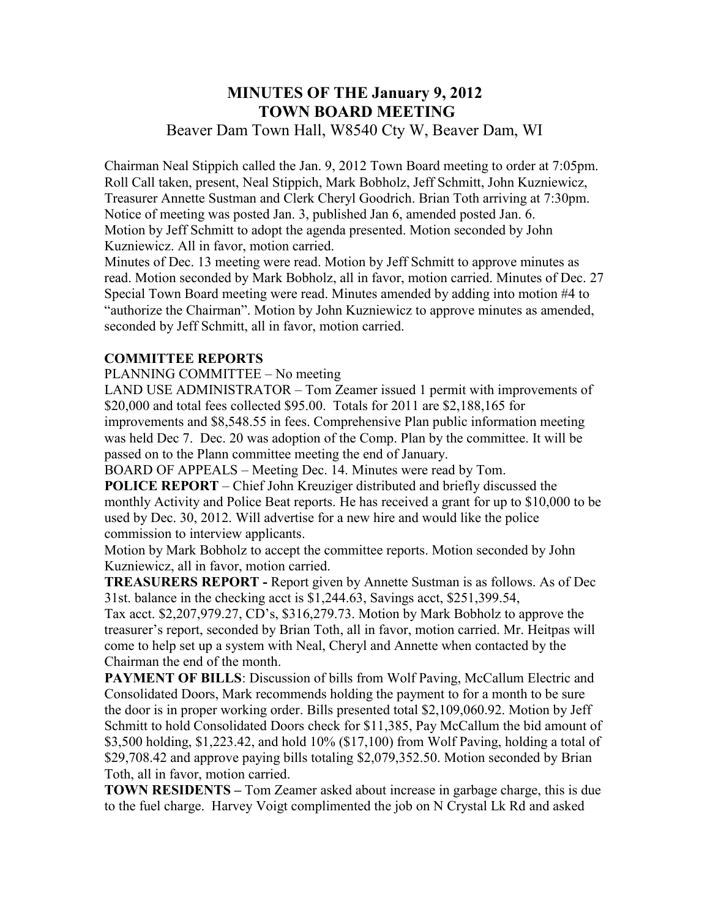## **MINUTES OF THE January 9, 2012 TOWN BOARD MEETING**  Beaver Dam Town Hall, W8540 Cty W, Beaver Dam, WI

Chairman Neal Stippich called the Jan. 9, 2012 Town Board meeting to order at 7:05pm. Roll Call taken, present, Neal Stippich, Mark Bobholz, Jeff Schmitt, John Kuzniewicz, Treasurer Annette Sustman and Clerk Cheryl Goodrich. Brian Toth arriving at 7:30pm. Notice of meeting was posted Jan. 3, published Jan 6, amended posted Jan. 6. Motion by Jeff Schmitt to adopt the agenda presented. Motion seconded by John Kuzniewicz. All in favor, motion carried.

Minutes of Dec. 13 meeting were read. Motion by Jeff Schmitt to approve minutes as read. Motion seconded by Mark Bobholz, all in favor, motion carried. Minutes of Dec. 27 Special Town Board meeting were read. Minutes amended by adding into motion #4 to "authorize the Chairman". Motion by John Kuzniewicz to approve minutes as amended, seconded by Jeff Schmitt, all in favor, motion carried.

## **COMMITTEE REPORTS**

PLANNING COMMITTEE – No meeting

LAND USE ADMINISTRATOR – Tom Zeamer issued 1 permit with improvements of \$20,000 and total fees collected \$95.00. Totals for 2011 are \$2,188,165 for improvements and \$8,548.55 in fees. Comprehensive Plan public information meeting was held Dec 7. Dec. 20 was adoption of the Comp. Plan by the committee. It will be passed on to the Plann committee meeting the end of January.

BOARD OF APPEALS – Meeting Dec. 14. Minutes were read by Tom.

**POLICE REPORT** – Chief John Kreuziger distributed and briefly discussed the monthly Activity and Police Beat reports. He has received a grant for up to \$10,000 to be used by Dec. 30, 2012. Will advertise for a new hire and would like the police commission to interview applicants.

Motion by Mark Bobholz to accept the committee reports. Motion seconded by John Kuzniewicz, all in favor, motion carried.

**TREASURERS REPORT -** Report given by Annette Sustman is as follows. As of Dec 31st. balance in the checking acct is \$1,244.63, Savings acct, \$251,399.54,

Tax acct. \$2,207,979.27, CD's, \$316,279.73. Motion by Mark Bobholz to approve the treasurer's report, seconded by Brian Toth, all in favor, motion carried. Mr. Heitpas will come to help set up a system with Neal, Cheryl and Annette when contacted by the Chairman the end of the month.

**PAYMENT OF BILLS:** Discussion of bills from Wolf Paving, McCallum Electric and Consolidated Doors, Mark recommends holding the payment to for a month to be sure the door is in proper working order. Bills presented total \$2,109,060.92. Motion by Jeff Schmitt to hold Consolidated Doors check for \$11,385, Pay McCallum the bid amount of \$3,500 holding, \$1,223.42, and hold 10% (\$17,100) from Wolf Paving, holding a total of \$29,708.42 and approve paying bills totaling \$2,079,352.50. Motion seconded by Brian Toth, all in favor, motion carried.

**TOWN RESIDENTS –** Tom Zeamer asked about increase in garbage charge, this is due to the fuel charge. Harvey Voigt complimented the job on N Crystal Lk Rd and asked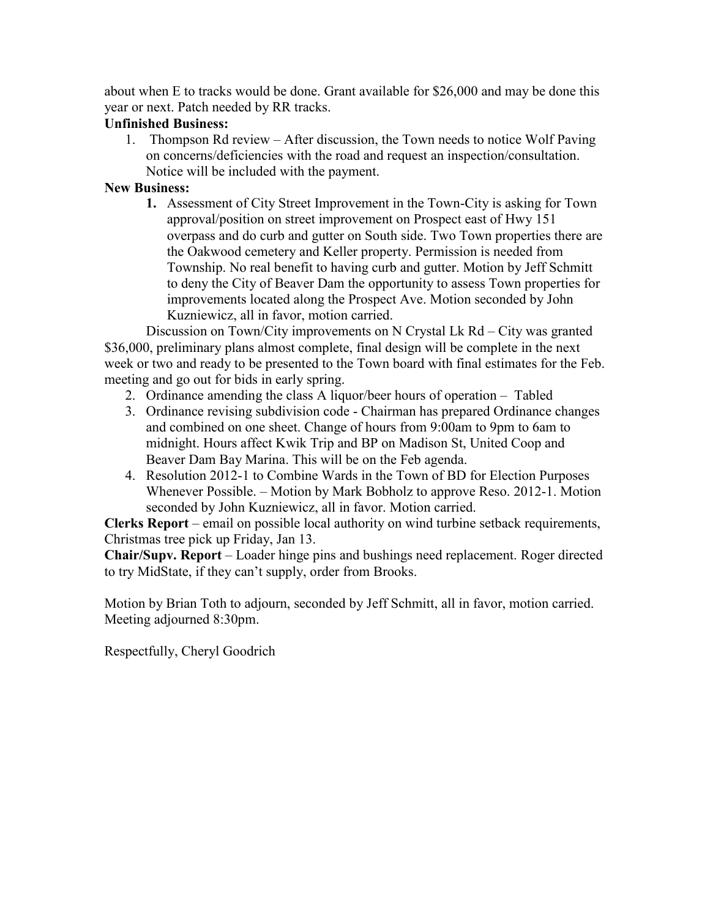about when E to tracks would be done. Grant available for \$26,000 and may be done this year or next. Patch needed by RR tracks.

## **Unfinished Business:**

1. Thompson Rd review – After discussion, the Town needs to notice Wolf Paving on concerns/deficiencies with the road and request an inspection/consultation. Notice will be included with the payment.

#### **New Business:**

**1.** Assessment of City Street Improvement in the Town-City is asking for Town approval/position on street improvement on Prospect east of Hwy 151 overpass and do curb and gutter on South side. Two Town properties there are the Oakwood cemetery and Keller property. Permission is needed from Township. No real benefit to having curb and gutter. Motion by Jeff Schmitt to deny the City of Beaver Dam the opportunity to assess Town properties for improvements located along the Prospect Ave. Motion seconded by John Kuzniewicz, all in favor, motion carried.

Discussion on Town/City improvements on N Crystal Lk Rd – City was granted \$36,000, preliminary plans almost complete, final design will be complete in the next week or two and ready to be presented to the Town board with final estimates for the Feb. meeting and go out for bids in early spring.

- 2. Ordinance amending the class A liquor/beer hours of operation Tabled
- 3. Ordinance revising subdivision code Chairman has prepared Ordinance changes and combined on one sheet. Change of hours from 9:00am to 9pm to 6am to midnight. Hours affect Kwik Trip and BP on Madison St, United Coop and Beaver Dam Bay Marina. This will be on the Feb agenda.
- 4. Resolution 2012-1 to Combine Wards in the Town of BD for Election Purposes Whenever Possible. – Motion by Mark Bobholz to approve Reso. 2012-1. Motion seconded by John Kuzniewicz, all in favor. Motion carried.

**Clerks Report** – email on possible local authority on wind turbine setback requirements, Christmas tree pick up Friday, Jan 13.

**Chair/Supv. Report** – Loader hinge pins and bushings need replacement. Roger directed to try MidState, if they can't supply, order from Brooks.

Motion by Brian Toth to adjourn, seconded by Jeff Schmitt, all in favor, motion carried. Meeting adjourned 8:30pm.

Respectfully, Cheryl Goodrich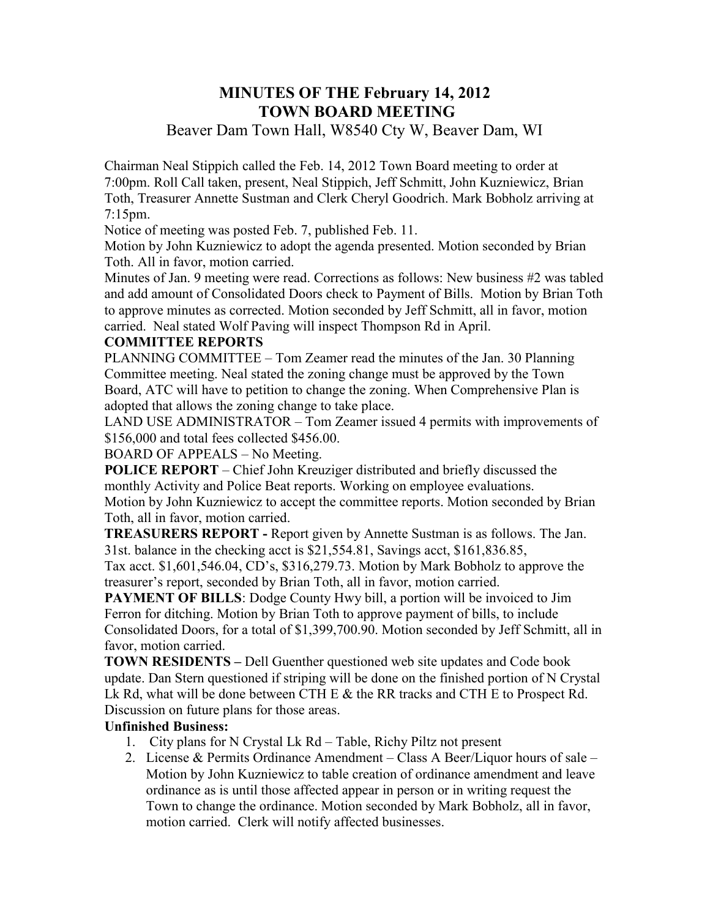## **MINUTES OF THE February 14, 2012 TOWN BOARD MEETING**

## Beaver Dam Town Hall, W8540 Cty W, Beaver Dam, WI

Chairman Neal Stippich called the Feb. 14, 2012 Town Board meeting to order at 7:00pm. Roll Call taken, present, Neal Stippich, Jeff Schmitt, John Kuzniewicz, Brian Toth, Treasurer Annette Sustman and Clerk Cheryl Goodrich. Mark Bobholz arriving at 7:15pm.

Notice of meeting was posted Feb. 7, published Feb. 11.

Motion by John Kuzniewicz to adopt the agenda presented. Motion seconded by Brian Toth. All in favor, motion carried.

Minutes of Jan. 9 meeting were read. Corrections as follows: New business #2 was tabled and add amount of Consolidated Doors check to Payment of Bills. Motion by Brian Toth to approve minutes as corrected. Motion seconded by Jeff Schmitt, all in favor, motion carried. Neal stated Wolf Paving will inspect Thompson Rd in April.

#### **COMMITTEE REPORTS**

PLANNING COMMITTEE – Tom Zeamer read the minutes of the Jan. 30 Planning Committee meeting. Neal stated the zoning change must be approved by the Town Board, ATC will have to petition to change the zoning. When Comprehensive Plan is adopted that allows the zoning change to take place.

LAND USE ADMINISTRATOR – Tom Zeamer issued 4 permits with improvements of \$156,000 and total fees collected \$456.00.

BOARD OF APPEALS – No Meeting.

**POLICE REPORT** – Chief John Kreuziger distributed and briefly discussed the monthly Activity and Police Beat reports. Working on employee evaluations. Motion by John Kuzniewicz to accept the committee reports. Motion seconded by Brian Toth, all in favor, motion carried.

**TREASURERS REPORT -** Report given by Annette Sustman is as follows. The Jan. 31st. balance in the checking acct is \$21,554.81, Savings acct, \$161,836.85,

Tax acct. \$1,601,546.04, CD's, \$316,279.73. Motion by Mark Bobholz to approve the treasurer's report, seconded by Brian Toth, all in favor, motion carried.

**PAYMENT OF BILLS:** Dodge County Hwy bill, a portion will be invoiced to Jim Ferron for ditching. Motion by Brian Toth to approve payment of bills, to include Consolidated Doors, for a total of \$1,399,700.90. Motion seconded by Jeff Schmitt, all in favor, motion carried.

**TOWN RESIDENTS –** Dell Guenther questioned web site updates and Code book update. Dan Stern questioned if striping will be done on the finished portion of N Crystal Lk Rd, what will be done between CTH E & the RR tracks and CTH E to Prospect Rd. Discussion on future plans for those areas.

#### **Unfinished Business:**

- 1. City plans for N Crystal Lk Rd Table, Richy Piltz not present
- 2. License & Permits Ordinance Amendment Class A Beer/Liquor hours of sale Motion by John Kuzniewicz to table creation of ordinance amendment and leave ordinance as is until those affected appear in person or in writing request the Town to change the ordinance. Motion seconded by Mark Bobholz, all in favor, motion carried. Clerk will notify affected businesses.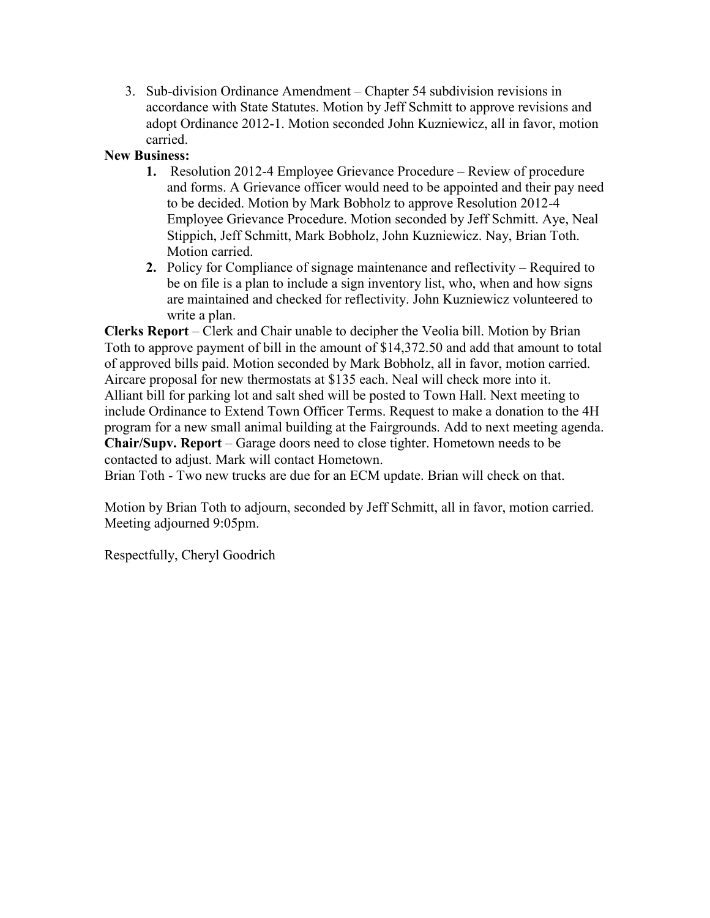3. Sub-division Ordinance Amendment – Chapter 54 subdivision revisions in accordance with State Statutes. Motion by Jeff Schmitt to approve revisions and adopt Ordinance 2012-1. Motion seconded John Kuzniewicz, all in favor, motion carried.

## **New Business:**

- **1.** Resolution 2012-4 Employee Grievance Procedure Review of procedure and forms. A Grievance officer would need to be appointed and their pay need to be decided. Motion by Mark Bobholz to approve Resolution 2012-4 Employee Grievance Procedure. Motion seconded by Jeff Schmitt. Aye, Neal Stippich, Jeff Schmitt, Mark Bobholz, John Kuzniewicz. Nay, Brian Toth. Motion carried.
- **2.** Policy for Compliance of signage maintenance and reflectivity Required to be on file is a plan to include a sign inventory list, who, when and how signs are maintained and checked for reflectivity. John Kuzniewicz volunteered to write a plan.

**Clerks Report** – Clerk and Chair unable to decipher the Veolia bill. Motion by Brian Toth to approve payment of bill in the amount of \$14,372.50 and add that amount to total of approved bills paid. Motion seconded by Mark Bobholz, all in favor, motion carried. Aircare proposal for new thermostats at \$135 each. Neal will check more into it. Alliant bill for parking lot and salt shed will be posted to Town Hall. Next meeting to include Ordinance to Extend Town Officer Terms. Request to make a donation to the 4H program for a new small animal building at the Fairgrounds. Add to next meeting agenda. **Chair/Supv. Report** – Garage doors need to close tighter. Hometown needs to be contacted to adjust. Mark will contact Hometown.

Brian Toth - Two new trucks are due for an ECM update. Brian will check on that.

Motion by Brian Toth to adjourn, seconded by Jeff Schmitt, all in favor, motion carried. Meeting adjourned 9:05pm.

Respectfully, Cheryl Goodrich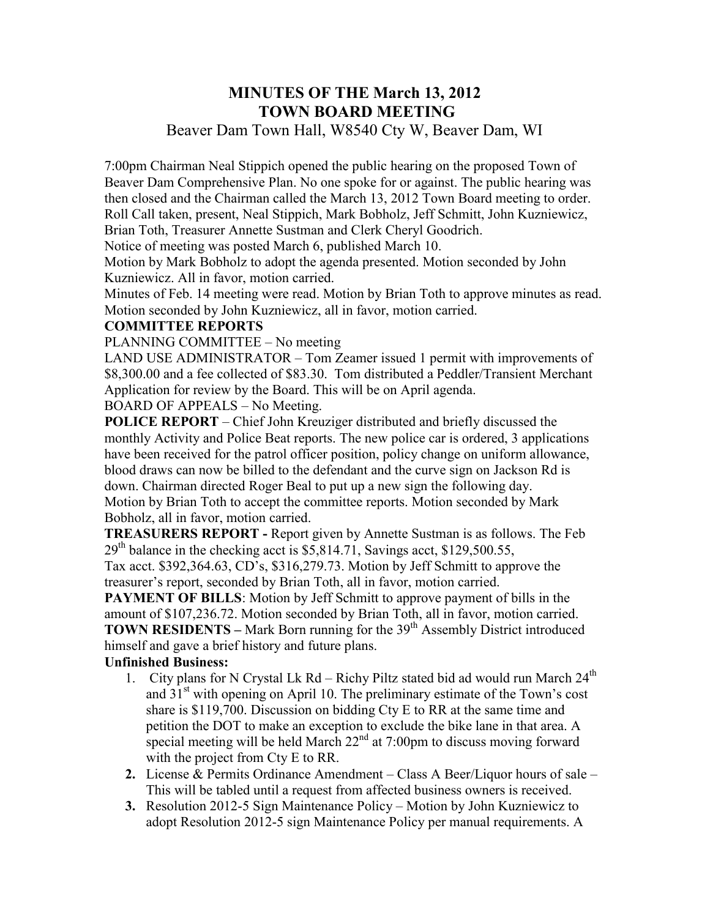# **MINUTES OF THE March 13, 2012 TOWN BOARD MEETING**

## Beaver Dam Town Hall, W8540 Cty W, Beaver Dam, WI

7:00pm Chairman Neal Stippich opened the public hearing on the proposed Town of Beaver Dam Comprehensive Plan. No one spoke for or against. The public hearing was then closed and the Chairman called the March 13, 2012 Town Board meeting to order. Roll Call taken, present, Neal Stippich, Mark Bobholz, Jeff Schmitt, John Kuzniewicz, Brian Toth, Treasurer Annette Sustman and Clerk Cheryl Goodrich.

Notice of meeting was posted March 6, published March 10.

Motion by Mark Bobholz to adopt the agenda presented. Motion seconded by John Kuzniewicz. All in favor, motion carried.

Minutes of Feb. 14 meeting were read. Motion by Brian Toth to approve minutes as read. Motion seconded by John Kuzniewicz, all in favor, motion carried.

#### **COMMITTEE REPORTS**

PLANNING COMMITTEE – No meeting

LAND USE ADMINISTRATOR – Tom Zeamer issued 1 permit with improvements of \$8,300.00 and a fee collected of \$83.30. Tom distributed a Peddler/Transient Merchant Application for review by the Board. This will be on April agenda.

BOARD OF APPEALS – No Meeting.

**POLICE REPORT** – Chief John Kreuziger distributed and briefly discussed the monthly Activity and Police Beat reports. The new police car is ordered, 3 applications have been received for the patrol officer position, policy change on uniform allowance, blood draws can now be billed to the defendant and the curve sign on Jackson Rd is down. Chairman directed Roger Beal to put up a new sign the following day. Motion by Brian Toth to accept the committee reports. Motion seconded by Mark Bobholz, all in favor, motion carried.

**TREASURERS REPORT -** Report given by Annette Sustman is as follows. The Feb  $29<sup>th</sup>$  balance in the checking acct is \$5,814.71, Savings acct, \$129,500.55,

Tax acct. \$392,364.63, CD's, \$316,279.73. Motion by Jeff Schmitt to approve the treasurer's report, seconded by Brian Toth, all in favor, motion carried.

**PAYMENT OF BILLS:** Motion by Jeff Schmitt to approve payment of bills in the amount of \$107,236.72. Motion seconded by Brian Toth, all in favor, motion carried. **TOWN RESIDENTS** – Mark Born running for the 39<sup>th</sup> Assembly District introduced himself and gave a brief history and future plans.

## **Unfinished Business:**

- 1. City plans for N Crystal Lk Rd Richy Piltz stated bid ad would run March  $24<sup>th</sup>$ and  $31<sup>st</sup>$  with opening on April 10. The preliminary estimate of the Town's cost share is \$119,700. Discussion on bidding Cty E to RR at the same time and petition the DOT to make an exception to exclude the bike lane in that area. A special meeting will be held March  $22<sup>nd</sup>$  at 7:00pm to discuss moving forward with the project from Cty E to RR.
- **2.** License & Permits Ordinance Amendment Class A Beer/Liquor hours of sale This will be tabled until a request from affected business owners is received.
- **3.** Resolution 2012-5 Sign Maintenance Policy Motion by John Kuzniewicz to adopt Resolution 2012-5 sign Maintenance Policy per manual requirements. A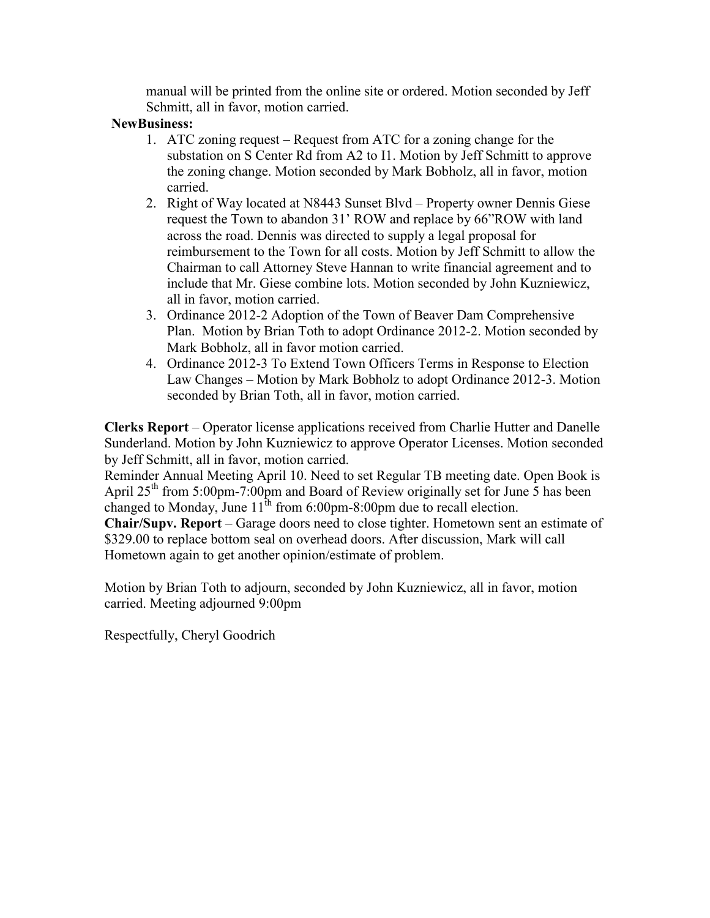manual will be printed from the online site or ordered. Motion seconded by Jeff Schmitt, all in favor, motion carried.

#### **NewBusiness:**

- 1. ATC zoning request Request from ATC for a zoning change for the substation on S Center Rd from A2 to I1. Motion by Jeff Schmitt to approve the zoning change. Motion seconded by Mark Bobholz, all in favor, motion carried.
- 2. Right of Way located at N8443 Sunset Blvd Property owner Dennis Giese request the Town to abandon 31' ROW and replace by 66"ROW with land across the road. Dennis was directed to supply a legal proposal for reimbursement to the Town for all costs. Motion by Jeff Schmitt to allow the Chairman to call Attorney Steve Hannan to write financial agreement and to include that Mr. Giese combine lots. Motion seconded by John Kuzniewicz, all in favor, motion carried.
- 3. Ordinance 2012-2 Adoption of the Town of Beaver Dam Comprehensive Plan. Motion by Brian Toth to adopt Ordinance 2012-2. Motion seconded by Mark Bobholz, all in favor motion carried.
- 4. Ordinance 2012-3 To Extend Town Officers Terms in Response to Election Law Changes – Motion by Mark Bobholz to adopt Ordinance 2012-3. Motion seconded by Brian Toth, all in favor, motion carried.

**Clerks Report** – Operator license applications received from Charlie Hutter and Danelle Sunderland. Motion by John Kuzniewicz to approve Operator Licenses. Motion seconded by Jeff Schmitt, all in favor, motion carried.

Reminder Annual Meeting April 10. Need to set Regular TB meeting date. Open Book is April  $25<sup>th</sup>$  from 5:00pm-7:00pm and Board of Review originally set for June 5 has been changed to Monday, June  $11^{th}$  from 6:00pm-8:00pm due to recall election.

**Chair/Supv. Report** – Garage doors need to close tighter. Hometown sent an estimate of \$329.00 to replace bottom seal on overhead doors. After discussion, Mark will call Hometown again to get another opinion/estimate of problem.

Motion by Brian Toth to adjourn, seconded by John Kuzniewicz, all in favor, motion carried. Meeting adjourned 9:00pm

Respectfully, Cheryl Goodrich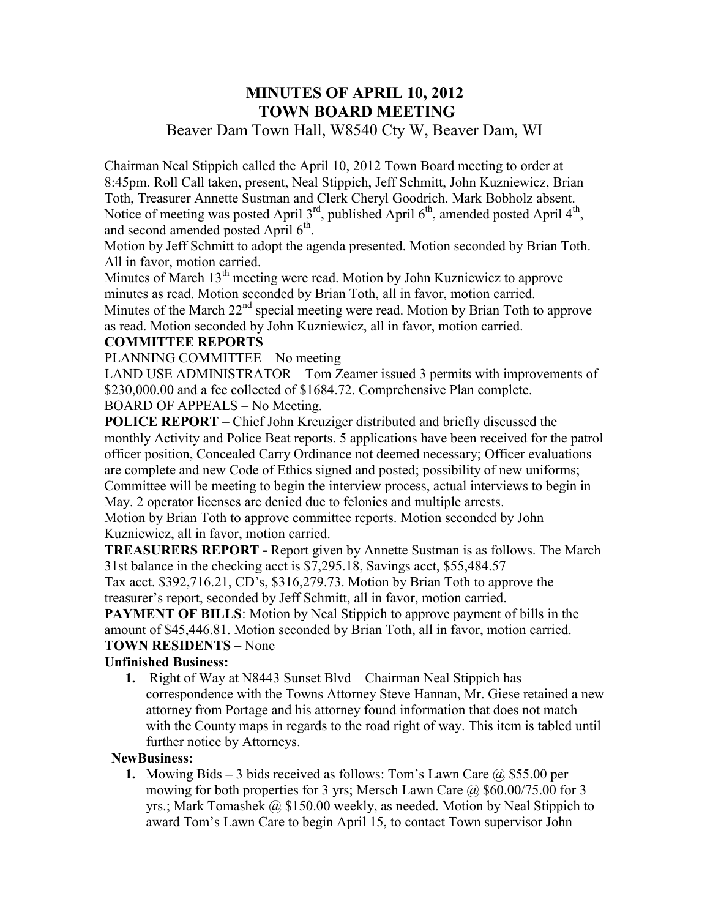# **MINUTES OF APRIL 10, 2012 TOWN BOARD MEETING**

## Beaver Dam Town Hall, W8540 Cty W, Beaver Dam, WI

Chairman Neal Stippich called the April 10, 2012 Town Board meeting to order at 8:45pm. Roll Call taken, present, Neal Stippich, Jeff Schmitt, John Kuzniewicz, Brian Toth, Treasurer Annette Sustman and Clerk Cheryl Goodrich. Mark Bobholz absent. Notice of meeting was posted April  $3^{rd}$ , published April  $6^{th}$ , amended posted April  $4^{th}$ , and second amended posted April 6<sup>th</sup>.

Motion by Jeff Schmitt to adopt the agenda presented. Motion seconded by Brian Toth. All in favor, motion carried.

Minutes of March 13<sup>th</sup> meeting were read. Motion by John Kuzniewicz to approve minutes as read. Motion seconded by Brian Toth, all in favor, motion carried. Minutes of the March  $22<sup>nd</sup>$  special meeting were read. Motion by Brian Toth to approve as read. Motion seconded by John Kuzniewicz, all in favor, motion carried.

## **COMMITTEE REPORTS**

PLANNING COMMITTEE – No meeting

LAND USE ADMINISTRATOR – Tom Zeamer issued 3 permits with improvements of \$230,000.00 and a fee collected of \$1684.72. Comprehensive Plan complete. BOARD OF APPEALS – No Meeting.

**POLICE REPORT** – Chief John Kreuziger distributed and briefly discussed the monthly Activity and Police Beat reports. 5 applications have been received for the patrol officer position, Concealed Carry Ordinance not deemed necessary; Officer evaluations are complete and new Code of Ethics signed and posted; possibility of new uniforms; Committee will be meeting to begin the interview process, actual interviews to begin in May. 2 operator licenses are denied due to felonies and multiple arrests.

Motion by Brian Toth to approve committee reports. Motion seconded by John Kuzniewicz, all in favor, motion carried.

**TREASURERS REPORT -** Report given by Annette Sustman is as follows. The March 31st balance in the checking acct is \$7,295.18, Savings acct, \$55,484.57

Tax acct. \$392,716.21, CD's, \$316,279.73. Motion by Brian Toth to approve the treasurer's report, seconded by Jeff Schmitt, all in favor, motion carried.

**PAYMENT OF BILLS:** Motion by Neal Stippich to approve payment of bills in the amount of \$45,446.81. Motion seconded by Brian Toth, all in favor, motion carried. **TOWN RESIDENTS –** None

## **Unfinished Business:**

**1.** Right of Way at N8443 Sunset Blvd – Chairman Neal Stippich has correspondence with the Towns Attorney Steve Hannan, Mr. Giese retained a new attorney from Portage and his attorney found information that does not match with the County maps in regards to the road right of way. This item is tabled until further notice by Attorneys.

#### **NewBusiness:**

**1.** Mowing Bids **–** 3 bids received as follows: Tom's Lawn Care @ \$55.00 per mowing for both properties for 3 yrs; Mersch Lawn Care @ \$60.00/75.00 for 3 yrs.; Mark Tomashek @ \$150.00 weekly, as needed. Motion by Neal Stippich to award Tom's Lawn Care to begin April 15, to contact Town supervisor John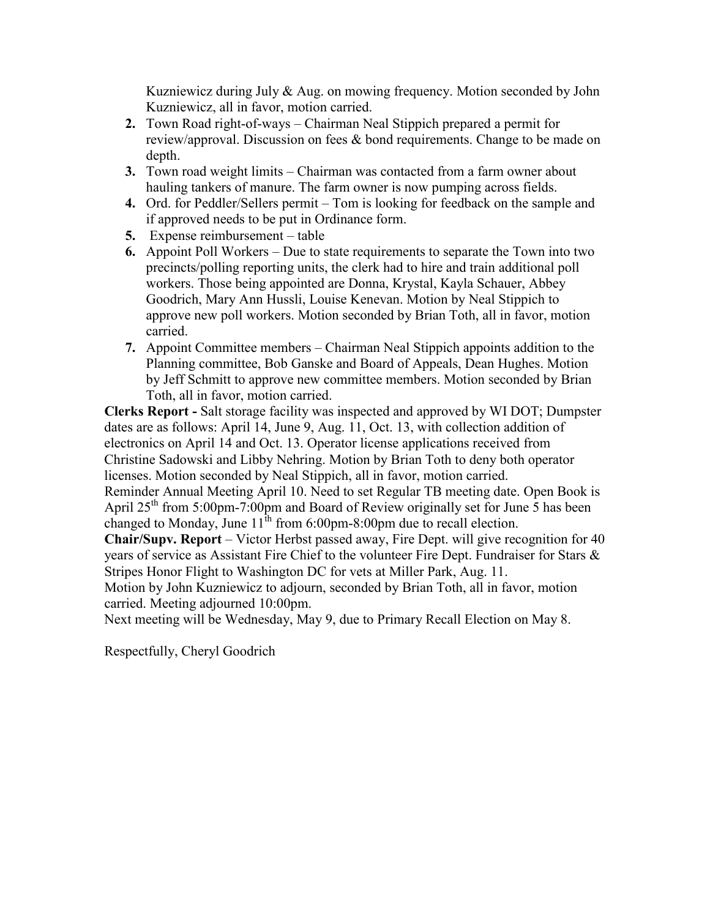Kuzniewicz during July & Aug. on mowing frequency. Motion seconded by John Kuzniewicz, all in favor, motion carried.

- **2.** Town Road right-of-ways Chairman Neal Stippich prepared a permit for review/approval. Discussion on fees & bond requirements. Change to be made on depth.
- **3.** Town road weight limits Chairman was contacted from a farm owner about hauling tankers of manure. The farm owner is now pumping across fields.
- **4.** Ord. for Peddler/Sellers permit Tom is looking for feedback on the sample and if approved needs to be put in Ordinance form.
- **5.** Expense reimbursement table
- **6.** Appoint Poll Workers Due to state requirements to separate the Town into two precincts/polling reporting units, the clerk had to hire and train additional poll workers. Those being appointed are Donna, Krystal, Kayla Schauer, Abbey Goodrich, Mary Ann Hussli, Louise Kenevan. Motion by Neal Stippich to approve new poll workers. Motion seconded by Brian Toth, all in favor, motion carried.
- **7.** Appoint Committee members Chairman Neal Stippich appoints addition to the Planning committee, Bob Ganske and Board of Appeals, Dean Hughes. Motion by Jeff Schmitt to approve new committee members. Motion seconded by Brian Toth, all in favor, motion carried.

**Clerks Report -** Salt storage facility was inspected and approved by WI DOT; Dumpster dates are as follows: April 14, June 9, Aug. 11, Oct. 13, with collection addition of electronics on April 14 and Oct. 13. Operator license applications received from Christine Sadowski and Libby Nehring. Motion by Brian Toth to deny both operator licenses. Motion seconded by Neal Stippich, all in favor, motion carried.

Reminder Annual Meeting April 10. Need to set Regular TB meeting date. Open Book is April  $25<sup>th</sup>$  from 5:00pm-7:00pm and Board of Review originally set for June 5 has been changed to Monday, June  $11^{th}$  from 6:00pm-8:00pm due to recall election.

**Chair/Supv. Report** – Victor Herbst passed away, Fire Dept. will give recognition for 40 years of service as Assistant Fire Chief to the volunteer Fire Dept. Fundraiser for Stars & Stripes Honor Flight to Washington DC for vets at Miller Park, Aug. 11.

Motion by John Kuzniewicz to adjourn, seconded by Brian Toth, all in favor, motion carried. Meeting adjourned 10:00pm.

Next meeting will be Wednesday, May 9, due to Primary Recall Election on May 8.

Respectfully, Cheryl Goodrich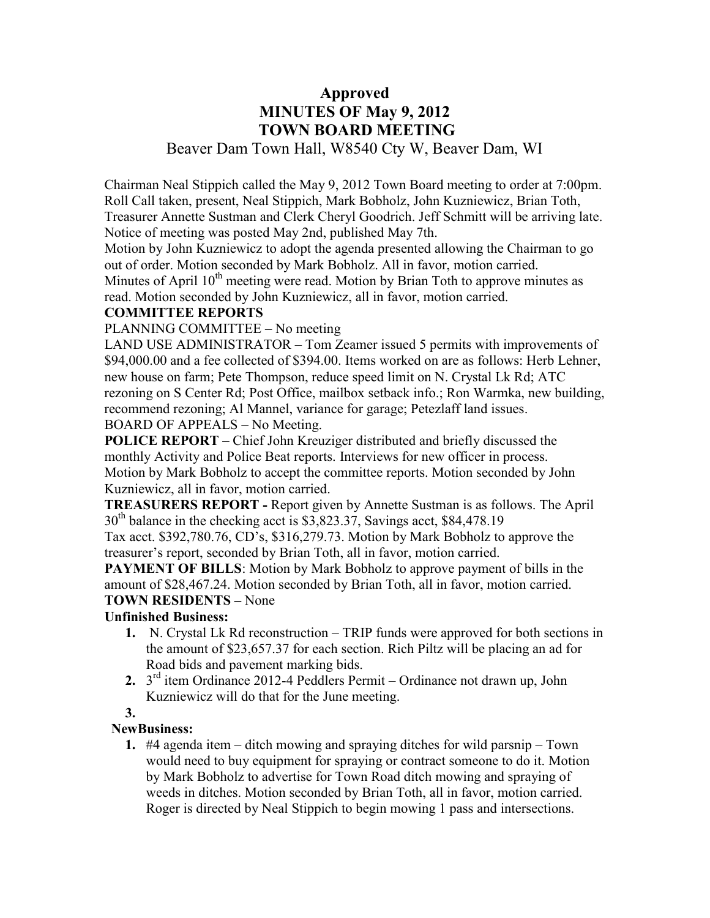## **Approved MINUTES OF May 9, 2012 TOWN BOARD MEETING**  Beaver Dam Town Hall, W8540 Cty W, Beaver Dam, WI

Chairman Neal Stippich called the May 9, 2012 Town Board meeting to order at 7:00pm. Roll Call taken, present, Neal Stippich, Mark Bobholz, John Kuzniewicz, Brian Toth, Treasurer Annette Sustman and Clerk Cheryl Goodrich. Jeff Schmitt will be arriving late. Notice of meeting was posted May 2nd, published May 7th.

Motion by John Kuzniewicz to adopt the agenda presented allowing the Chairman to go out of order. Motion seconded by Mark Bobholz. All in favor, motion carried.

Minutes of April  $10<sup>th</sup>$  meeting were read. Motion by Brian Toth to approve minutes as read. Motion seconded by John Kuzniewicz, all in favor, motion carried.

## **COMMITTEE REPORTS**

PLANNING COMMITTEE – No meeting

LAND USE ADMINISTRATOR – Tom Zeamer issued 5 permits with improvements of \$94,000.00 and a fee collected of \$394.00. Items worked on are as follows: Herb Lehner, new house on farm; Pete Thompson, reduce speed limit on N. Crystal Lk Rd; ATC rezoning on S Center Rd; Post Office, mailbox setback info.; Ron Warmka, new building, recommend rezoning; Al Mannel, variance for garage; Petezlaff land issues. BOARD OF APPEALS – No Meeting.

**POLICE REPORT** – Chief John Kreuziger distributed and briefly discussed the monthly Activity and Police Beat reports. Interviews for new officer in process. Motion by Mark Bobholz to accept the committee reports. Motion seconded by John Kuzniewicz, all in favor, motion carried.

**TREASURERS REPORT -** Report given by Annette Sustman is as follows. The April  $30<sup>th</sup>$  balance in the checking acct is \$3,823.37, Savings acct, \$84,478.19

Tax acct. \$392,780.76, CD's, \$316,279.73. Motion by Mark Bobholz to approve the treasurer's report, seconded by Brian Toth, all in favor, motion carried.

**PAYMENT OF BILLS:** Motion by Mark Bobholz to approve payment of bills in the amount of \$28,467.24. Motion seconded by Brian Toth, all in favor, motion carried. **TOWN RESIDENTS –** None

## **Unfinished Business:**

- **1.** N. Crystal Lk Rd reconstruction TRIP funds were approved for both sections in the amount of \$23,657.37 for each section. Rich Piltz will be placing an ad for Road bids and pavement marking bids.
- **2.** 3 rd item Ordinance 2012-4 Peddlers Permit Ordinance not drawn up, John Kuzniewicz will do that for the June meeting.

## **3.**

## **NewBusiness:**

**1.** #4 agenda item – ditch mowing and spraying ditches for wild parsnip – Town would need to buy equipment for spraying or contract someone to do it. Motion by Mark Bobholz to advertise for Town Road ditch mowing and spraying of weeds in ditches. Motion seconded by Brian Toth, all in favor, motion carried. Roger is directed by Neal Stippich to begin mowing 1 pass and intersections.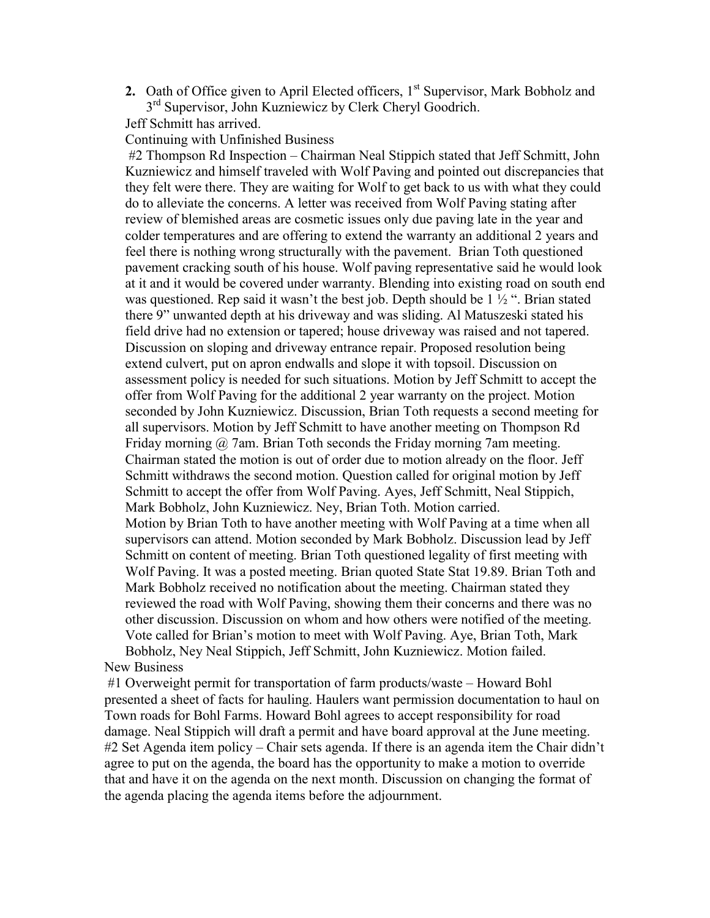**2.** Oath of Office given to April Elected officers, 1<sup>st</sup> Supervisor, Mark Bobholz and 3<sup>rd</sup> Supervisor, John Kuzniewicz by Clerk Cheryl Goodrich.

Jeff Schmitt has arrived.

Continuing with Unfinished Business

#2 Thompson Rd Inspection – Chairman Neal Stippich stated that Jeff Schmitt, John Kuzniewicz and himself traveled with Wolf Paving and pointed out discrepancies that they felt were there. They are waiting for Wolf to get back to us with what they could do to alleviate the concerns. A letter was received from Wolf Paving stating after review of blemished areas are cosmetic issues only due paving late in the year and colder temperatures and are offering to extend the warranty an additional 2 years and feel there is nothing wrong structurally with the pavement. Brian Toth questioned pavement cracking south of his house. Wolf paving representative said he would look at it and it would be covered under warranty. Blending into existing road on south end was questioned. Rep said it wasn't the best job. Depth should be 1 ½ ". Brian stated there 9" unwanted depth at his driveway and was sliding. Al Matuszeski stated his field drive had no extension or tapered; house driveway was raised and not tapered. Discussion on sloping and driveway entrance repair. Proposed resolution being extend culvert, put on apron endwalls and slope it with topsoil. Discussion on assessment policy is needed for such situations. Motion by Jeff Schmitt to accept the offer from Wolf Paving for the additional 2 year warranty on the project. Motion seconded by John Kuzniewicz. Discussion, Brian Toth requests a second meeting for all supervisors. Motion by Jeff Schmitt to have another meeting on Thompson Rd Friday morning  $\omega$  7am. Brian Toth seconds the Friday morning 7am meeting. Chairman stated the motion is out of order due to motion already on the floor. Jeff Schmitt withdraws the second motion. Question called for original motion by Jeff Schmitt to accept the offer from Wolf Paving. Ayes, Jeff Schmitt, Neal Stippich, Mark Bobholz, John Kuzniewicz. Ney, Brian Toth. Motion carried. Motion by Brian Toth to have another meeting with Wolf Paving at a time when all supervisors can attend. Motion seconded by Mark Bobholz. Discussion lead by Jeff Schmitt on content of meeting. Brian Toth questioned legality of first meeting with Wolf Paving. It was a posted meeting. Brian quoted State Stat 19.89. Brian Toth and Mark Bobholz received no notification about the meeting. Chairman stated they reviewed the road with Wolf Paving, showing them their concerns and there was no other discussion. Discussion on whom and how others were notified of the meeting. Vote called for Brian's motion to meet with Wolf Paving. Aye, Brian Toth, Mark Bobholz, Ney Neal Stippich, Jeff Schmitt, John Kuzniewicz. Motion failed.

#### New Business

#1 Overweight permit for transportation of farm products/waste – Howard Bohl presented a sheet of facts for hauling. Haulers want permission documentation to haul on Town roads for Bohl Farms. Howard Bohl agrees to accept responsibility for road damage. Neal Stippich will draft a permit and have board approval at the June meeting. #2 Set Agenda item policy – Chair sets agenda. If there is an agenda item the Chair didn't agree to put on the agenda, the board has the opportunity to make a motion to override that and have it on the agenda on the next month. Discussion on changing the format of the agenda placing the agenda items before the adjournment.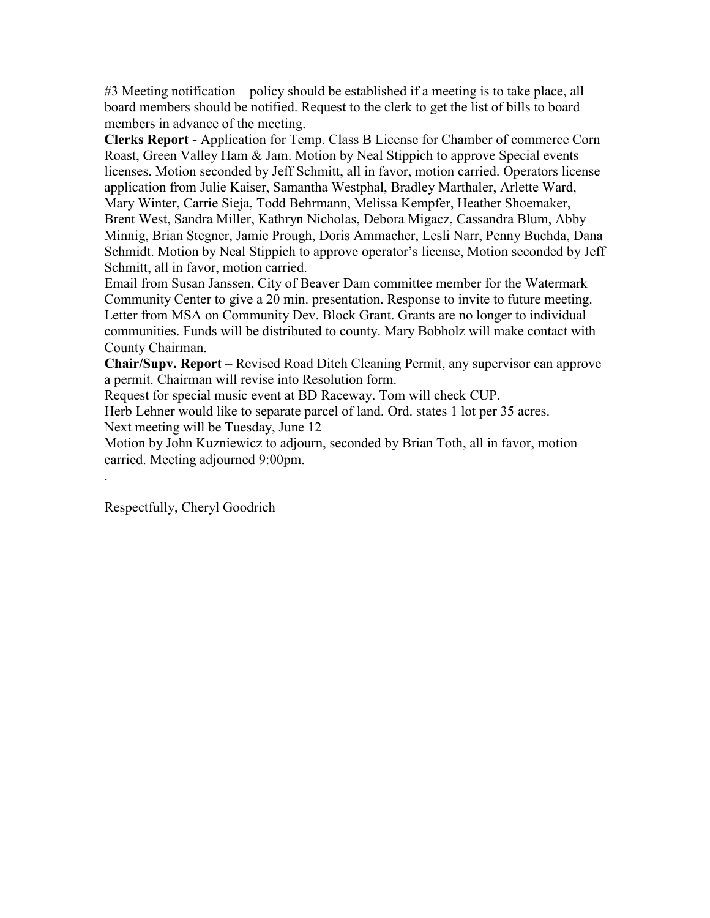#3 Meeting notification – policy should be established if a meeting is to take place, all board members should be notified. Request to the clerk to get the list of bills to board members in advance of the meeting.

**Clerks Report -** Application for Temp. Class B License for Chamber of commerce Corn Roast, Green Valley Ham & Jam. Motion by Neal Stippich to approve Special events licenses. Motion seconded by Jeff Schmitt, all in favor, motion carried. Operators license application from Julie Kaiser, Samantha Westphal, Bradley Marthaler, Arlette Ward, Mary Winter, Carrie Sieja, Todd Behrmann, Melissa Kempfer, Heather Shoemaker, Brent West, Sandra Miller, Kathryn Nicholas, Debora Migacz, Cassandra Blum, Abby Minnig, Brian Stegner, Jamie Prough, Doris Ammacher, Lesli Narr, Penny Buchda, Dana Schmidt. Motion by Neal Stippich to approve operator's license, Motion seconded by Jeff Schmitt, all in favor, motion carried.

Email from Susan Janssen, City of Beaver Dam committee member for the Watermark Community Center to give a 20 min. presentation. Response to invite to future meeting. Letter from MSA on Community Dev. Block Grant. Grants are no longer to individual communities. Funds will be distributed to county. Mary Bobholz will make contact with County Chairman.

**Chair/Supv. Report** – Revised Road Ditch Cleaning Permit, any supervisor can approve a permit. Chairman will revise into Resolution form.

Request for special music event at BD Raceway. Tom will check CUP.

Herb Lehner would like to separate parcel of land. Ord. states 1 lot per 35 acres. Next meeting will be Tuesday, June 12

Motion by John Kuzniewicz to adjourn, seconded by Brian Toth, all in favor, motion carried. Meeting adjourned 9:00pm.

Respectfully, Cheryl Goodrich

.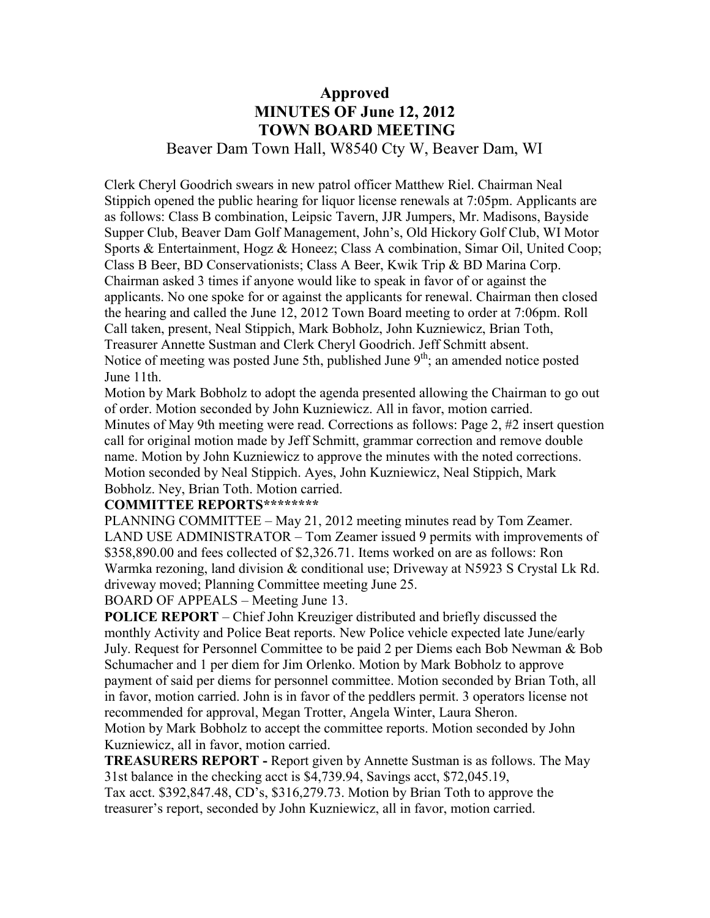## **Approved MINUTES OF June 12, 2012 TOWN BOARD MEETING**  Beaver Dam Town Hall, W8540 Cty W, Beaver Dam, WI

Clerk Cheryl Goodrich swears in new patrol officer Matthew Riel. Chairman Neal Stippich opened the public hearing for liquor license renewals at 7:05pm. Applicants are as follows: Class B combination, Leipsic Tavern, JJR Jumpers, Mr. Madisons, Bayside Supper Club, Beaver Dam Golf Management, John's, Old Hickory Golf Club, WI Motor Sports & Entertainment, Hogz & Honeez; Class A combination, Simar Oil, United Coop; Class B Beer, BD Conservationists; Class A Beer, Kwik Trip & BD Marina Corp. Chairman asked 3 times if anyone would like to speak in favor of or against the applicants. No one spoke for or against the applicants for renewal. Chairman then closed the hearing and called the June 12, 2012 Town Board meeting to order at 7:06pm. Roll Call taken, present, Neal Stippich, Mark Bobholz, John Kuzniewicz, Brian Toth, Treasurer Annette Sustman and Clerk Cheryl Goodrich. Jeff Schmitt absent. Notice of meeting was posted June 5th, published June  $9<sup>th</sup>$ ; an amended notice posted June 11th.

Motion by Mark Bobholz to adopt the agenda presented allowing the Chairman to go out of order. Motion seconded by John Kuzniewicz. All in favor, motion carried. Minutes of May 9th meeting were read. Corrections as follows: Page 2, #2 insert question call for original motion made by Jeff Schmitt, grammar correction and remove double name. Motion by John Kuzniewicz to approve the minutes with the noted corrections. Motion seconded by Neal Stippich. Ayes, John Kuzniewicz, Neal Stippich, Mark Bobholz. Ney, Brian Toth. Motion carried.

#### **COMMITTEE REPORTS\*\*\*\*\*\*\*\***

PLANNING COMMITTEE – May 21, 2012 meeting minutes read by Tom Zeamer. LAND USE ADMINISTRATOR – Tom Zeamer issued 9 permits with improvements of \$358,890.00 and fees collected of \$2,326.71. Items worked on are as follows: Ron Warmka rezoning, land division & conditional use; Driveway at N5923 S Crystal Lk Rd. driveway moved; Planning Committee meeting June 25.

BOARD OF APPEALS – Meeting June 13.

**POLICE REPORT** – Chief John Kreuziger distributed and briefly discussed the monthly Activity and Police Beat reports. New Police vehicle expected late June/early July. Request for Personnel Committee to be paid 2 per Diems each Bob Newman & Bob Schumacher and 1 per diem for Jim Orlenko. Motion by Mark Bobholz to approve payment of said per diems for personnel committee. Motion seconded by Brian Toth, all in favor, motion carried. John is in favor of the peddlers permit. 3 operators license not recommended for approval, Megan Trotter, Angela Winter, Laura Sheron.

Motion by Mark Bobholz to accept the committee reports. Motion seconded by John Kuzniewicz, all in favor, motion carried.

**TREASURERS REPORT -** Report given by Annette Sustman is as follows. The May 31st balance in the checking acct is \$4,739.94, Savings acct, \$72,045.19,

Tax acct. \$392,847.48, CD's, \$316,279.73. Motion by Brian Toth to approve the treasurer's report, seconded by John Kuzniewicz, all in favor, motion carried.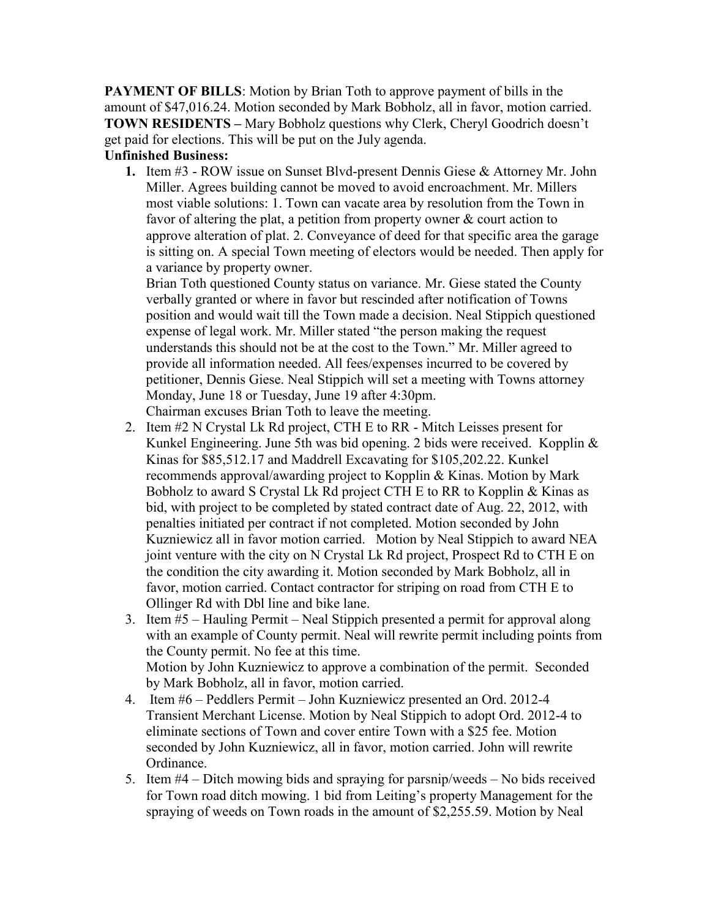**PAYMENT OF BILLS:** Motion by Brian Toth to approve payment of bills in the amount of \$47,016.24. Motion seconded by Mark Bobholz, all in favor, motion carried. **TOWN RESIDENTS –** Mary Bobholz questions why Clerk, Cheryl Goodrich doesn't get paid for elections. This will be put on the July agenda.

#### **Unfinished Business:**

**1.** Item #3 - ROW issue on Sunset Blvd-present Dennis Giese & Attorney Mr. John Miller. Agrees building cannot be moved to avoid encroachment. Mr. Millers most viable solutions: 1. Town can vacate area by resolution from the Town in favor of altering the plat, a petition from property owner & court action to approve alteration of plat. 2. Conveyance of deed for that specific area the garage is sitting on. A special Town meeting of electors would be needed. Then apply for a variance by property owner.

Brian Toth questioned County status on variance. Mr. Giese stated the County verbally granted or where in favor but rescinded after notification of Towns position and would wait till the Town made a decision. Neal Stippich questioned expense of legal work. Mr. Miller stated "the person making the request understands this should not be at the cost to the Town." Mr. Miller agreed to provide all information needed. All fees/expenses incurred to be covered by petitioner, Dennis Giese. Neal Stippich will set a meeting with Towns attorney Monday, June 18 or Tuesday, June 19 after 4:30pm. Chairman excuses Brian Toth to leave the meeting.

- 2. Item #2 N Crystal Lk Rd project, CTH E to RR Mitch Leisses present for Kunkel Engineering. June 5th was bid opening. 2 bids were received. Kopplin & Kinas for \$85,512.17 and Maddrell Excavating for \$105,202.22. Kunkel recommends approval/awarding project to Kopplin & Kinas. Motion by Mark Bobholz to award S Crystal Lk Rd project CTH E to RR to Kopplin & Kinas as bid, with project to be completed by stated contract date of Aug. 22, 2012, with penalties initiated per contract if not completed. Motion seconded by John Kuzniewicz all in favor motion carried. Motion by Neal Stippich to award NEA joint venture with the city on N Crystal Lk Rd project, Prospect Rd to CTH E on the condition the city awarding it. Motion seconded by Mark Bobholz, all in favor, motion carried. Contact contractor for striping on road from CTH E to Ollinger Rd with Dbl line and bike lane.
- 3. Item #5 Hauling Permit Neal Stippich presented a permit for approval along with an example of County permit. Neal will rewrite permit including points from the County permit. No fee at this time. Motion by John Kuzniewicz to approve a combination of the permit. Seconded by Mark Bobholz, all in favor, motion carried.
- 4. Item #6 Peddlers Permit John Kuzniewicz presented an Ord. 2012-4 Transient Merchant License. Motion by Neal Stippich to adopt Ord. 2012-4 to eliminate sections of Town and cover entire Town with a \$25 fee. Motion seconded by John Kuzniewicz, all in favor, motion carried. John will rewrite Ordinance.
- 5. Item #4 Ditch mowing bids and spraying for parsnip/weeds No bids received for Town road ditch mowing. 1 bid from Leiting's property Management for the spraying of weeds on Town roads in the amount of \$2,255.59. Motion by Neal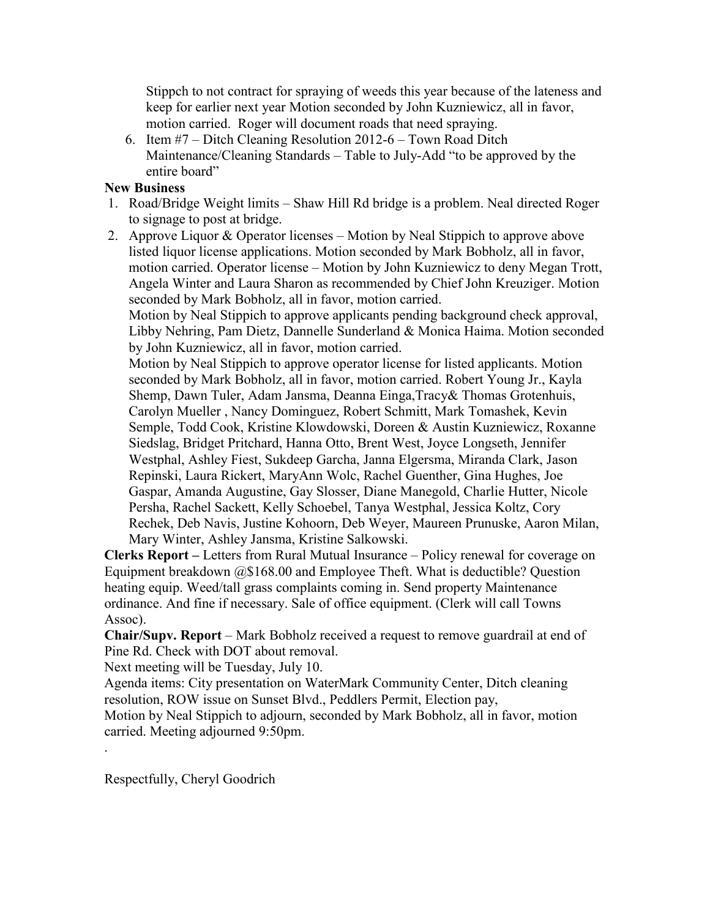Stippch to not contract for spraying of weeds this year because of the lateness and keep for earlier next year Motion seconded by John Kuzniewicz, all in favor, motion carried. Roger will document roads that need spraying.

6. Item #7 – Ditch Cleaning Resolution 2012-6 – Town Road Ditch Maintenance/Cleaning Standards – Table to July-Add "to be approved by the entire board"

#### **New Business**

- 1. Road/Bridge Weight limits Shaw Hill Rd bridge is a problem. Neal directed Roger to signage to post at bridge.
- 2. Approve Liquor & Operator licenses Motion by Neal Stippich to approve above listed liquor license applications. Motion seconded by Mark Bobholz, all in favor, motion carried. Operator license – Motion by John Kuzniewicz to deny Megan Trott, Angela Winter and Laura Sharon as recommended by Chief John Kreuziger. Motion seconded by Mark Bobholz, all in favor, motion carried.

Motion by Neal Stippich to approve applicants pending background check approval, Libby Nehring, Pam Dietz, Dannelle Sunderland & Monica Haima. Motion seconded by John Kuzniewicz, all in favor, motion carried.

Motion by Neal Stippich to approve operator license for listed applicants. Motion seconded by Mark Bobholz, all in favor, motion carried. Robert Young Jr., Kayla Shemp, Dawn Tuler, Adam Jansma, Deanna Einga,Tracy& Thomas Grotenhuis, Carolyn Mueller , Nancy Dominguez, Robert Schmitt, Mark Tomashek, Kevin Semple, Todd Cook, Kristine Klowdowski, Doreen & Austin Kuzniewicz, Roxanne Siedslag, Bridget Pritchard, Hanna Otto, Brent West, Joyce Longseth, Jennifer Westphal, Ashley Fiest, Sukdeep Garcha, Janna Elgersma, Miranda Clark, Jason Repinski, Laura Rickert, MaryAnn Wolc, Rachel Guenther, Gina Hughes, Joe Gaspar, Amanda Augustine, Gay Slosser, Diane Manegold, Charlie Hutter, Nicole Persha, Rachel Sackett, Kelly Schoebel, Tanya Westphal, Jessica Koltz, Cory Rechek, Deb Navis, Justine Kohoorn, Deb Weyer, Maureen Prunuske, Aaron Milan, Mary Winter, Ashley Jansma, Kristine Salkowski.

**Clerks Report –** Letters from Rural Mutual Insurance – Policy renewal for coverage on Equipment breakdown @\$168.00 and Employee Theft. What is deductible? Question heating equip. Weed/tall grass complaints coming in. Send property Maintenance ordinance. And fine if necessary. Sale of office equipment. (Clerk will call Towns Assoc).

**Chair/Supv. Report** – Mark Bobholz received a request to remove guardrail at end of Pine Rd. Check with DOT about removal.

Next meeting will be Tuesday, July 10.

Agenda items: City presentation on WaterMark Community Center, Ditch cleaning resolution, ROW issue on Sunset Blvd., Peddlers Permit, Election pay,

Motion by Neal Stippich to adjourn, seconded by Mark Bobholz, all in favor, motion carried. Meeting adjourned 9:50pm.

Respectfully, Cheryl Goodrich

.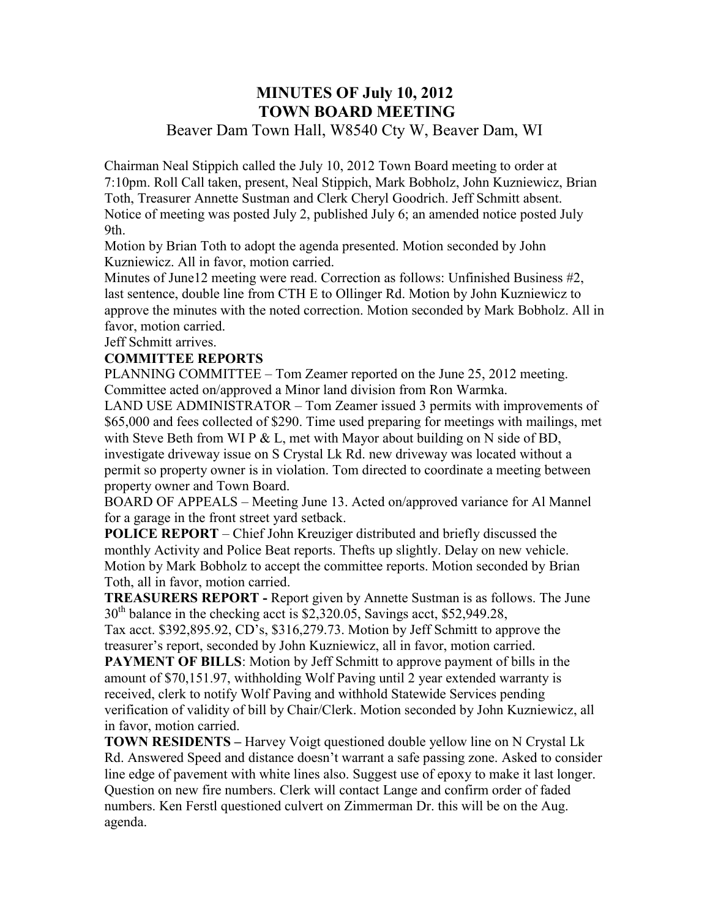## **MINUTES OF July 10, 2012 TOWN BOARD MEETING**  Beaver Dam Town Hall, W8540 Cty W, Beaver Dam, WI

Chairman Neal Stippich called the July 10, 2012 Town Board meeting to order at 7:10pm. Roll Call taken, present, Neal Stippich, Mark Bobholz, John Kuzniewicz, Brian Toth, Treasurer Annette Sustman and Clerk Cheryl Goodrich. Jeff Schmitt absent. Notice of meeting was posted July 2, published July 6; an amended notice posted July 9th.

Motion by Brian Toth to adopt the agenda presented. Motion seconded by John Kuzniewicz. All in favor, motion carried.

Minutes of June12 meeting were read. Correction as follows: Unfinished Business #2, last sentence, double line from CTH E to Ollinger Rd. Motion by John Kuzniewicz to approve the minutes with the noted correction. Motion seconded by Mark Bobholz. All in favor, motion carried.

Jeff Schmitt arrives.

#### **COMMITTEE REPORTS**

PLANNING COMMITTEE – Tom Zeamer reported on the June 25, 2012 meeting. Committee acted on/approved a Minor land division from Ron Warmka.

LAND USE ADMINISTRATOR – Tom Zeamer issued 3 permits with improvements of \$65,000 and fees collected of \$290. Time used preparing for meetings with mailings, met with Steve Beth from WI P & L, met with Mayor about building on N side of BD, investigate driveway issue on S Crystal Lk Rd. new driveway was located without a permit so property owner is in violation. Tom directed to coordinate a meeting between property owner and Town Board.

BOARD OF APPEALS – Meeting June 13. Acted on/approved variance for Al Mannel for a garage in the front street yard setback.

**POLICE REPORT** – Chief John Kreuziger distributed and briefly discussed the monthly Activity and Police Beat reports. Thefts up slightly. Delay on new vehicle. Motion by Mark Bobholz to accept the committee reports. Motion seconded by Brian Toth, all in favor, motion carried.

**TREASURERS REPORT -** Report given by Annette Sustman is as follows. The June  $30<sup>th</sup>$  balance in the checking acct is \$2,320.05, Savings acct, \$52,949.28,

Tax acct. \$392,895.92, CD's, \$316,279.73. Motion by Jeff Schmitt to approve the treasurer's report, seconded by John Kuzniewicz, all in favor, motion carried.

**PAYMENT OF BILLS:** Motion by Jeff Schmitt to approve payment of bills in the amount of \$70,151.97, withholding Wolf Paving until 2 year extended warranty is received, clerk to notify Wolf Paving and withhold Statewide Services pending verification of validity of bill by Chair/Clerk. Motion seconded by John Kuzniewicz, all in favor, motion carried.

**TOWN RESIDENTS –** Harvey Voigt questioned double yellow line on N Crystal Lk Rd. Answered Speed and distance doesn't warrant a safe passing zone. Asked to consider line edge of pavement with white lines also. Suggest use of epoxy to make it last longer. Question on new fire numbers. Clerk will contact Lange and confirm order of faded numbers. Ken Ferstl questioned culvert on Zimmerman Dr. this will be on the Aug. agenda.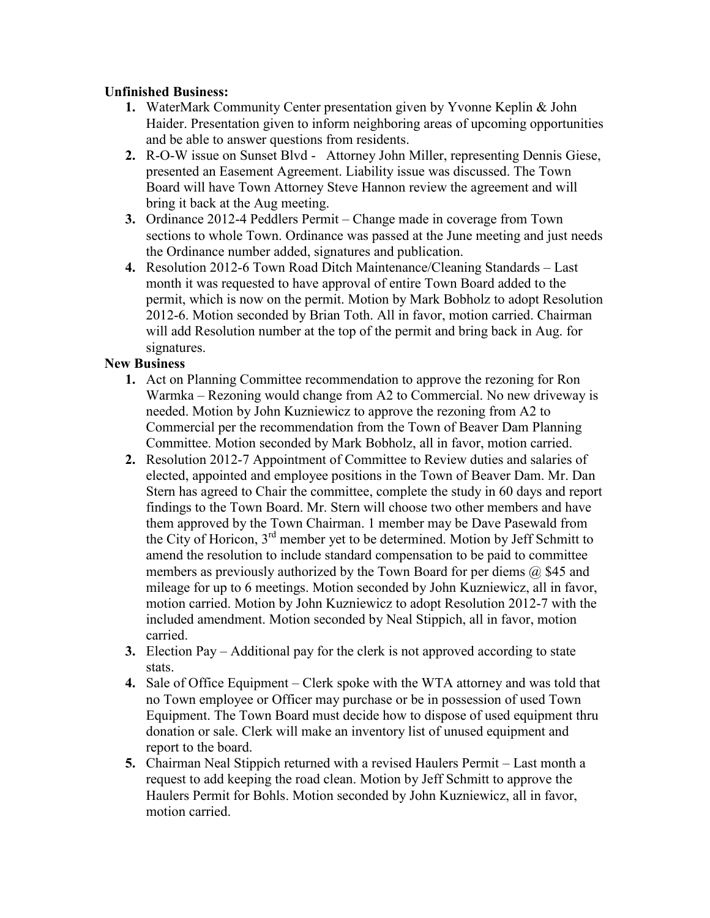#### **Unfinished Business:**

- **1.** WaterMark Community Center presentation given by Yvonne Keplin & John Haider. Presentation given to inform neighboring areas of upcoming opportunities and be able to answer questions from residents.
- **2.** R-O-W issue on Sunset Blvd Attorney John Miller, representing Dennis Giese, presented an Easement Agreement. Liability issue was discussed. The Town Board will have Town Attorney Steve Hannon review the agreement and will bring it back at the Aug meeting.
- **3.** Ordinance 2012-4 Peddlers Permit Change made in coverage from Town sections to whole Town. Ordinance was passed at the June meeting and just needs the Ordinance number added, signatures and publication.
- **4.** Resolution 2012-6 Town Road Ditch Maintenance/Cleaning Standards Last month it was requested to have approval of entire Town Board added to the permit, which is now on the permit. Motion by Mark Bobholz to adopt Resolution 2012-6. Motion seconded by Brian Toth. All in favor, motion carried. Chairman will add Resolution number at the top of the permit and bring back in Aug. for signatures.

#### **New Business**

- **1.** Act on Planning Committee recommendation to approve the rezoning for Ron Warmka – Rezoning would change from A2 to Commercial. No new driveway is needed. Motion by John Kuzniewicz to approve the rezoning from A2 to Commercial per the recommendation from the Town of Beaver Dam Planning Committee. Motion seconded by Mark Bobholz, all in favor, motion carried.
- **2.** Resolution 2012-7 Appointment of Committee to Review duties and salaries of elected, appointed and employee positions in the Town of Beaver Dam. Mr. Dan Stern has agreed to Chair the committee, complete the study in 60 days and report findings to the Town Board. Mr. Stern will choose two other members and have them approved by the Town Chairman. 1 member may be Dave Pasewald from the City of Horicon, 3rd member yet to be determined. Motion by Jeff Schmitt to amend the resolution to include standard compensation to be paid to committee members as previously authorized by the Town Board for per diems  $(a)$  \$45 and mileage for up to 6 meetings. Motion seconded by John Kuzniewicz, all in favor, motion carried. Motion by John Kuzniewicz to adopt Resolution 2012-7 with the included amendment. Motion seconded by Neal Stippich, all in favor, motion carried.
- **3.** Election Pay Additional pay for the clerk is not approved according to state stats.
- **4.** Sale of Office Equipment Clerk spoke with the WTA attorney and was told that no Town employee or Officer may purchase or be in possession of used Town Equipment. The Town Board must decide how to dispose of used equipment thru donation or sale. Clerk will make an inventory list of unused equipment and report to the board.
- **5.** Chairman Neal Stippich returned with a revised Haulers Permit Last month a request to add keeping the road clean. Motion by Jeff Schmitt to approve the Haulers Permit for Bohls. Motion seconded by John Kuzniewicz, all in favor, motion carried.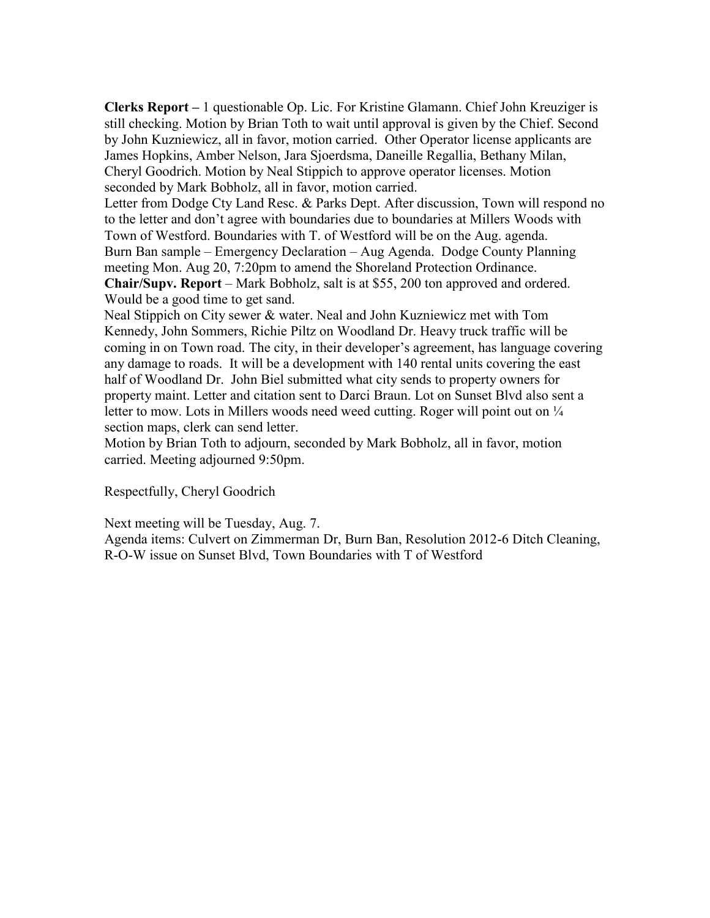**Clerks Report –** 1 questionable Op. Lic. For Kristine Glamann. Chief John Kreuziger is still checking. Motion by Brian Toth to wait until approval is given by the Chief. Second by John Kuzniewicz, all in favor, motion carried. Other Operator license applicants are James Hopkins, Amber Nelson, Jara Sjoerdsma, Daneille Regallia, Bethany Milan, Cheryl Goodrich. Motion by Neal Stippich to approve operator licenses. Motion seconded by Mark Bobholz, all in favor, motion carried.

Letter from Dodge Cty Land Resc. & Parks Dept. After discussion, Town will respond no to the letter and don't agree with boundaries due to boundaries at Millers Woods with Town of Westford. Boundaries with T. of Westford will be on the Aug. agenda. Burn Ban sample – Emergency Declaration – Aug Agenda. Dodge County Planning meeting Mon. Aug 20, 7:20pm to amend the Shoreland Protection Ordinance. **Chair/Supv. Report** – Mark Bobholz, salt is at \$55, 200 ton approved and ordered.

Would be a good time to get sand.

Neal Stippich on City sewer & water. Neal and John Kuzniewicz met with Tom Kennedy, John Sommers, Richie Piltz on Woodland Dr. Heavy truck traffic will be coming in on Town road. The city, in their developer's agreement, has language covering any damage to roads. It will be a development with 140 rental units covering the east half of Woodland Dr. John Biel submitted what city sends to property owners for property maint. Letter and citation sent to Darci Braun. Lot on Sunset Blvd also sent a letter to mow. Lots in Millers woods need weed cutting. Roger will point out on  $\frac{1}{4}$ section maps, clerk can send letter.

Motion by Brian Toth to adjourn, seconded by Mark Bobholz, all in favor, motion carried. Meeting adjourned 9:50pm.

Respectfully, Cheryl Goodrich

Next meeting will be Tuesday, Aug. 7.

Agenda items: Culvert on Zimmerman Dr, Burn Ban, Resolution 2012-6 Ditch Cleaning, R-O-W issue on Sunset Blvd, Town Boundaries with T of Westford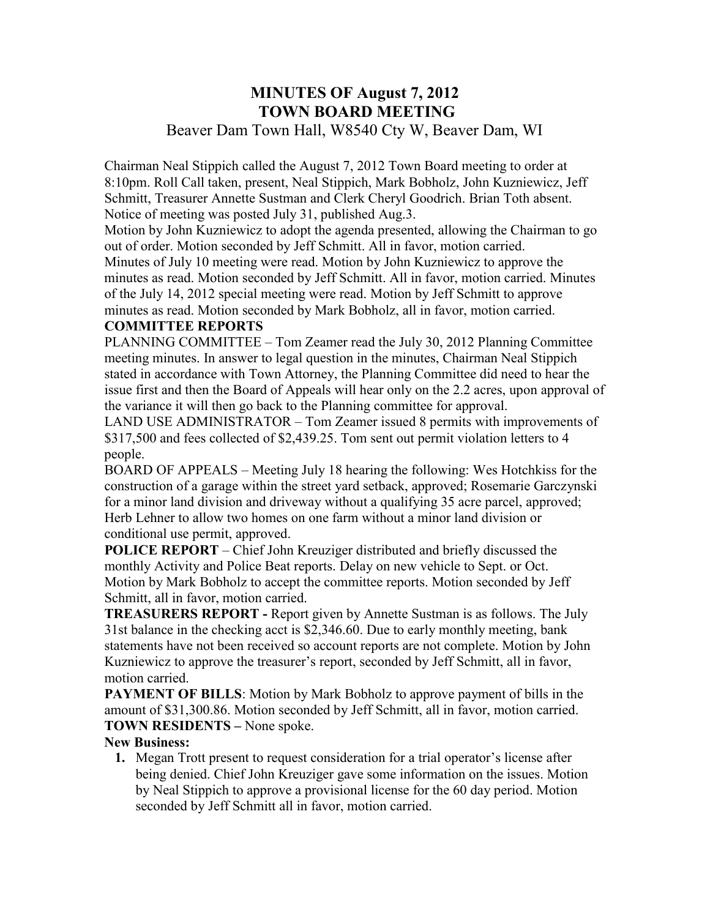## **MINUTES OF August 7, 2012 TOWN BOARD MEETING**  Beaver Dam Town Hall, W8540 Cty W, Beaver Dam, WI

Chairman Neal Stippich called the August 7, 2012 Town Board meeting to order at 8:10pm. Roll Call taken, present, Neal Stippich, Mark Bobholz, John Kuzniewicz, Jeff Schmitt, Treasurer Annette Sustman and Clerk Cheryl Goodrich. Brian Toth absent. Notice of meeting was posted July 31, published Aug.3.

Motion by John Kuzniewicz to adopt the agenda presented, allowing the Chairman to go out of order. Motion seconded by Jeff Schmitt. All in favor, motion carried.

Minutes of July 10 meeting were read. Motion by John Kuzniewicz to approve the minutes as read. Motion seconded by Jeff Schmitt. All in favor, motion carried. Minutes of the July 14, 2012 special meeting were read. Motion by Jeff Schmitt to approve minutes as read. Motion seconded by Mark Bobholz, all in favor, motion carried.

#### **COMMITTEE REPORTS**

PLANNING COMMITTEE – Tom Zeamer read the July 30, 2012 Planning Committee meeting minutes. In answer to legal question in the minutes, Chairman Neal Stippich stated in accordance with Town Attorney, the Planning Committee did need to hear the issue first and then the Board of Appeals will hear only on the 2.2 acres, upon approval of the variance it will then go back to the Planning committee for approval.

LAND USE ADMINISTRATOR – Tom Zeamer issued 8 permits with improvements of \$317,500 and fees collected of \$2,439.25. Tom sent out permit violation letters to 4 people.

BOARD OF APPEALS – Meeting July 18 hearing the following: Wes Hotchkiss for the construction of a garage within the street yard setback, approved; Rosemarie Garczynski for a minor land division and driveway without a qualifying 35 acre parcel, approved; Herb Lehner to allow two homes on one farm without a minor land division or conditional use permit, approved.

**POLICE REPORT** – Chief John Kreuziger distributed and briefly discussed the monthly Activity and Police Beat reports. Delay on new vehicle to Sept. or Oct. Motion by Mark Bobholz to accept the committee reports. Motion seconded by Jeff Schmitt, all in favor, motion carried.

**TREASURERS REPORT -** Report given by Annette Sustman is as follows. The July 31st balance in the checking acct is \$2,346.60. Due to early monthly meeting, bank statements have not been received so account reports are not complete. Motion by John Kuzniewicz to approve the treasurer's report, seconded by Jeff Schmitt, all in favor, motion carried.

**PAYMENT OF BILLS**: Motion by Mark Bobholz to approve payment of bills in the amount of \$31,300.86. Motion seconded by Jeff Schmitt, all in favor, motion carried. **TOWN RESIDENTS –** None spoke.

#### **New Business:**

**1.** Megan Trott present to request consideration for a trial operator's license after being denied. Chief John Kreuziger gave some information on the issues. Motion by Neal Stippich to approve a provisional license for the 60 day period. Motion seconded by Jeff Schmitt all in favor, motion carried.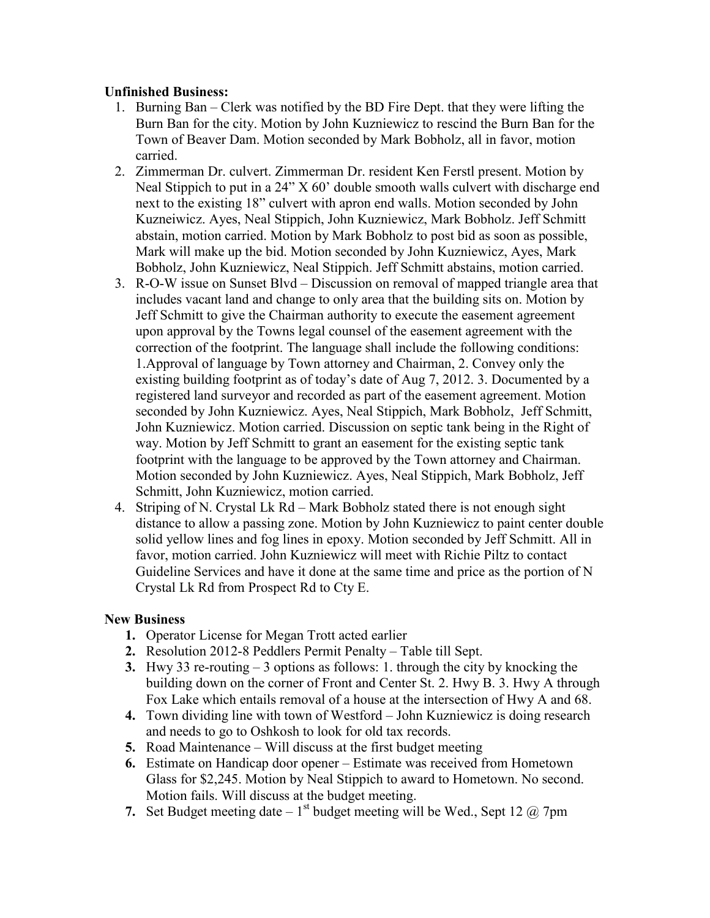#### **Unfinished Business:**

- 1. Burning Ban Clerk was notified by the BD Fire Dept. that they were lifting the Burn Ban for the city. Motion by John Kuzniewicz to rescind the Burn Ban for the Town of Beaver Dam. Motion seconded by Mark Bobholz, all in favor, motion carried.
- 2. Zimmerman Dr. culvert. Zimmerman Dr. resident Ken Ferstl present. Motion by Neal Stippich to put in a  $24$ " X  $60$ ' double smooth walls culvert with discharge end next to the existing 18" culvert with apron end walls. Motion seconded by John Kuzneiwicz. Ayes, Neal Stippich, John Kuzniewicz, Mark Bobholz. Jeff Schmitt abstain, motion carried. Motion by Mark Bobholz to post bid as soon as possible, Mark will make up the bid. Motion seconded by John Kuzniewicz, Ayes, Mark Bobholz, John Kuzniewicz, Neal Stippich. Jeff Schmitt abstains, motion carried.
- 3. R-O-W issue on Sunset Blvd Discussion on removal of mapped triangle area that includes vacant land and change to only area that the building sits on. Motion by Jeff Schmitt to give the Chairman authority to execute the easement agreement upon approval by the Towns legal counsel of the easement agreement with the correction of the footprint. The language shall include the following conditions: 1.Approval of language by Town attorney and Chairman, 2. Convey only the existing building footprint as of today's date of Aug 7, 2012. 3. Documented by a registered land surveyor and recorded as part of the easement agreement. Motion seconded by John Kuzniewicz. Ayes, Neal Stippich, Mark Bobholz, Jeff Schmitt, John Kuzniewicz. Motion carried. Discussion on septic tank being in the Right of way. Motion by Jeff Schmitt to grant an easement for the existing septic tank footprint with the language to be approved by the Town attorney and Chairman. Motion seconded by John Kuzniewicz. Ayes, Neal Stippich, Mark Bobholz, Jeff Schmitt, John Kuzniewicz, motion carried.
- 4. Striping of N. Crystal Lk Rd Mark Bobholz stated there is not enough sight distance to allow a passing zone. Motion by John Kuzniewicz to paint center double solid yellow lines and fog lines in epoxy. Motion seconded by Jeff Schmitt. All in favor, motion carried. John Kuzniewicz will meet with Richie Piltz to contact Guideline Services and have it done at the same time and price as the portion of N Crystal Lk Rd from Prospect Rd to Cty E.

#### **New Business**

- **1.** Operator License for Megan Trott acted earlier
- **2.** Resolution 2012-8 Peddlers Permit Penalty Table till Sept.
- **3.** Hwy 33 re-routing 3 options as follows: 1. through the city by knocking the building down on the corner of Front and Center St. 2. Hwy B. 3. Hwy A through Fox Lake which entails removal of a house at the intersection of Hwy A and 68.
- **4.** Town dividing line with town of Westford John Kuzniewicz is doing research and needs to go to Oshkosh to look for old tax records.
- **5.** Road Maintenance Will discuss at the first budget meeting
- **6.** Estimate on Handicap door opener Estimate was received from Hometown Glass for \$2,245. Motion by Neal Stippich to award to Hometown. No second. Motion fails. Will discuss at the budget meeting.
- **7.** Set Budget meeting date  $-1$ <sup>st</sup> budget meeting will be Wed., Sept 12  $@$  7pm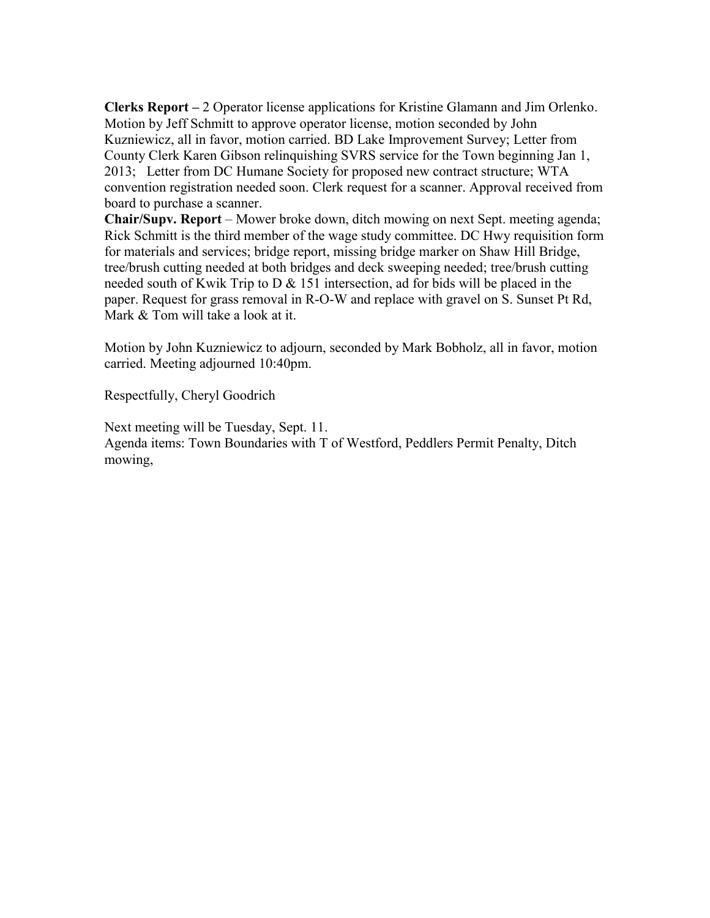**Clerks Report –** 2 Operator license applications for Kristine Glamann and Jim Orlenko. Motion by Jeff Schmitt to approve operator license, motion seconded by John Kuzniewicz, all in favor, motion carried. BD Lake Improvement Survey; Letter from County Clerk Karen Gibson relinquishing SVRS service for the Town beginning Jan 1, 2013; Letter from DC Humane Society for proposed new contract structure; WTA convention registration needed soon. Clerk request for a scanner. Approval received from board to purchase a scanner.

**Chair/Supv. Report** – Mower broke down, ditch mowing on next Sept. meeting agenda; Rick Schmitt is the third member of the wage study committee. DC Hwy requisition form for materials and services; bridge report, missing bridge marker on Shaw Hill Bridge, tree/brush cutting needed at both bridges and deck sweeping needed; tree/brush cutting needed south of Kwik Trip to  $D \& 151$  intersection, ad for bids will be placed in the paper. Request for grass removal in R-O-W and replace with gravel on S. Sunset Pt Rd, Mark & Tom will take a look at it.

Motion by John Kuzniewicz to adjourn, seconded by Mark Bobholz, all in favor, motion carried. Meeting adjourned 10:40pm.

Respectfully, Cheryl Goodrich

Next meeting will be Tuesday, Sept. 11. Agenda items: Town Boundaries with T of Westford, Peddlers Permit Penalty, Ditch mowing,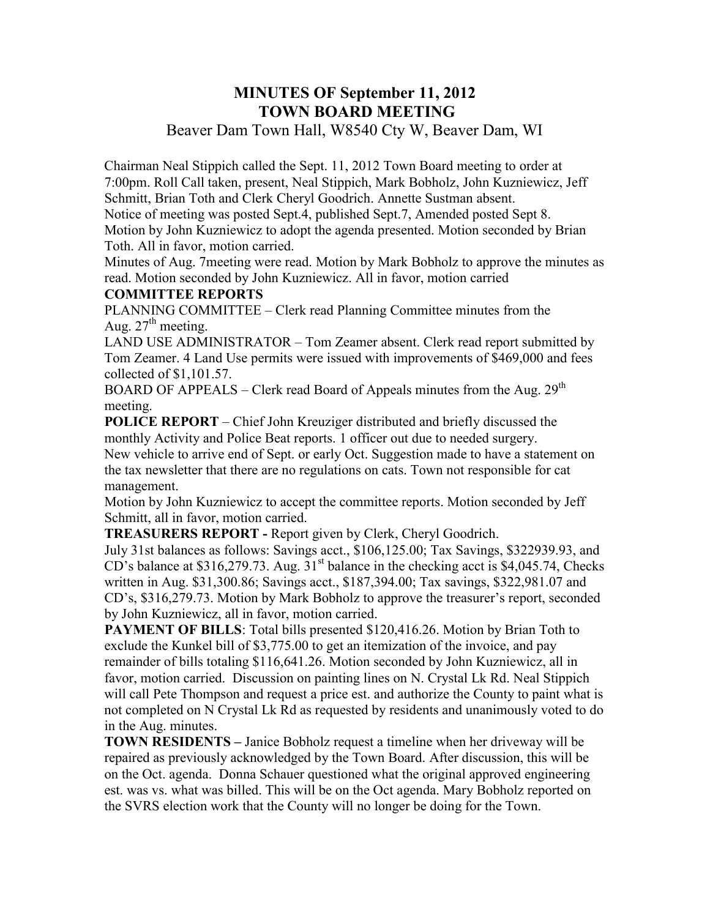## **MINUTES OF September 11, 2012 TOWN BOARD MEETING**

## Beaver Dam Town Hall, W8540 Cty W, Beaver Dam, WI

Chairman Neal Stippich called the Sept. 11, 2012 Town Board meeting to order at 7:00pm. Roll Call taken, present, Neal Stippich, Mark Bobholz, John Kuzniewicz, Jeff Schmitt, Brian Toth and Clerk Cheryl Goodrich. Annette Sustman absent.

Notice of meeting was posted Sept.4, published Sept.7, Amended posted Sept 8. Motion by John Kuzniewicz to adopt the agenda presented. Motion seconded by Brian Toth. All in favor, motion carried.

Minutes of Aug. 7meeting were read. Motion by Mark Bobholz to approve the minutes as read. Motion seconded by John Kuzniewicz. All in favor, motion carried

#### **COMMITTEE REPORTS**

PLANNING COMMITTEE – Clerk read Planning Committee minutes from the Aug.  $27<sup>th</sup>$  meeting.

LAND USE ADMINISTRATOR – Tom Zeamer absent. Clerk read report submitted by Tom Zeamer. 4 Land Use permits were issued with improvements of \$469,000 and fees collected of \$1,101.57.

BOARD OF APPEALS – Clerk read Board of Appeals minutes from the Aug.  $29<sup>th</sup>$ meeting.

**POLICE REPORT** – Chief John Kreuziger distributed and briefly discussed the monthly Activity and Police Beat reports. 1 officer out due to needed surgery. New vehicle to arrive end of Sept. or early Oct. Suggestion made to have a statement on the tax newsletter that there are no regulations on cats. Town not responsible for cat management.

Motion by John Kuzniewicz to accept the committee reports. Motion seconded by Jeff Schmitt, all in favor, motion carried.

**TREASURERS REPORT -** Report given by Clerk, Cheryl Goodrich.

July 31st balances as follows: Savings acct., \$106,125.00; Tax Savings, \$322939.93, and CD's balance at \$316,279.73. Aug.  $31<sup>st</sup>$  balance in the checking acct is \$4,045.74, Checks written in Aug. \$31,300.86; Savings acct., \$187,394.00; Tax savings, \$322,981.07 and CD's, \$316,279.73. Motion by Mark Bobholz to approve the treasurer's report, seconded by John Kuzniewicz, all in favor, motion carried.

**PAYMENT OF BILLS:** Total bills presented \$120,416.26. Motion by Brian Toth to exclude the Kunkel bill of \$3,775.00 to get an itemization of the invoice, and pay remainder of bills totaling \$116,641.26. Motion seconded by John Kuzniewicz, all in favor, motion carried. Discussion on painting lines on N. Crystal Lk Rd. Neal Stippich will call Pete Thompson and request a price est. and authorize the County to paint what is not completed on N Crystal Lk Rd as requested by residents and unanimously voted to do in the Aug. minutes.

**TOWN RESIDENTS –** Janice Bobholz request a timeline when her driveway will be repaired as previously acknowledged by the Town Board. After discussion, this will be on the Oct. agenda. Donna Schauer questioned what the original approved engineering est. was vs. what was billed. This will be on the Oct agenda. Mary Bobholz reported on the SVRS election work that the County will no longer be doing for the Town.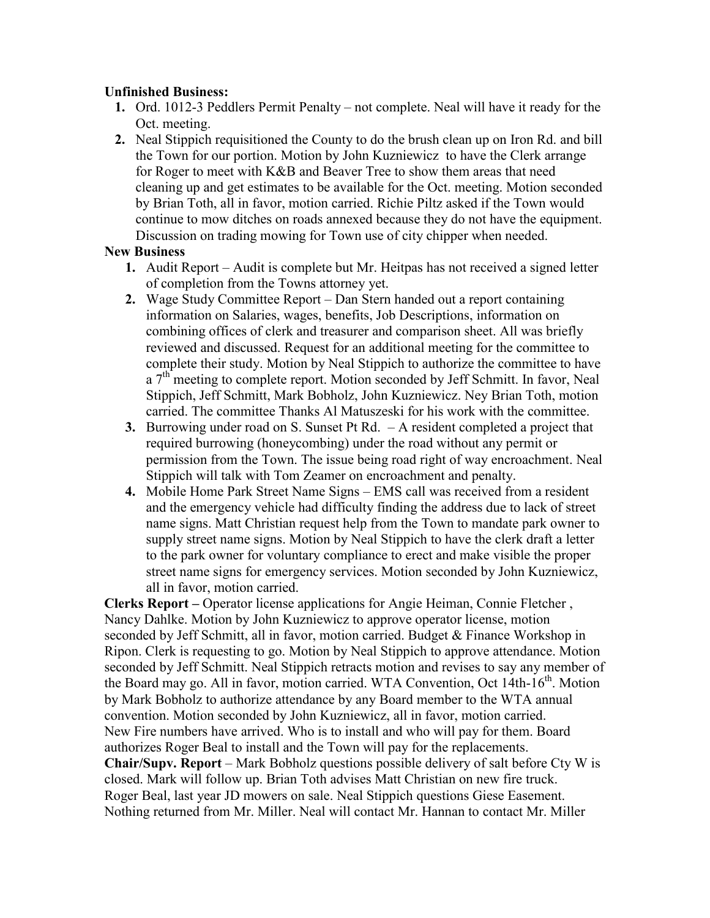#### **Unfinished Business:**

- **1.** Ord. 1012-3 Peddlers Permit Penalty not complete. Neal will have it ready for the Oct. meeting.
- **2.** Neal Stippich requisitioned the County to do the brush clean up on Iron Rd. and bill the Town for our portion. Motion by John Kuzniewicz to have the Clerk arrange for Roger to meet with K&B and Beaver Tree to show them areas that need cleaning up and get estimates to be available for the Oct. meeting. Motion seconded by Brian Toth, all in favor, motion carried. Richie Piltz asked if the Town would continue to mow ditches on roads annexed because they do not have the equipment. Discussion on trading mowing for Town use of city chipper when needed.

#### **New Business**

- **1.** Audit Report Audit is complete but Mr. Heitpas has not received a signed letter of completion from the Towns attorney yet.
- **2.** Wage Study Committee Report Dan Stern handed out a report containing information on Salaries, wages, benefits, Job Descriptions, information on combining offices of clerk and treasurer and comparison sheet. All was briefly reviewed and discussed. Request for an additional meeting for the committee to complete their study. Motion by Neal Stippich to authorize the committee to have  $a$  7<sup>th</sup> meeting to complete report. Motion seconded by Jeff Schmitt. In favor, Neal Stippich, Jeff Schmitt, Mark Bobholz, John Kuzniewicz. Ney Brian Toth, motion carried. The committee Thanks Al Matuszeski for his work with the committee.
- **3.** Burrowing under road on S. Sunset Pt Rd. A resident completed a project that required burrowing (honeycombing) under the road without any permit or permission from the Town. The issue being road right of way encroachment. Neal Stippich will talk with Tom Zeamer on encroachment and penalty.
- **4.** Mobile Home Park Street Name Signs EMS call was received from a resident and the emergency vehicle had difficulty finding the address due to lack of street name signs. Matt Christian request help from the Town to mandate park owner to supply street name signs. Motion by Neal Stippich to have the clerk draft a letter to the park owner for voluntary compliance to erect and make visible the proper street name signs for emergency services. Motion seconded by John Kuzniewicz, all in favor, motion carried.

**Clerks Report –** Operator license applications for Angie Heiman, Connie Fletcher , Nancy Dahlke. Motion by John Kuzniewicz to approve operator license, motion seconded by Jeff Schmitt, all in favor, motion carried. Budget & Finance Workshop in Ripon. Clerk is requesting to go. Motion by Neal Stippich to approve attendance. Motion seconded by Jeff Schmitt. Neal Stippich retracts motion and revises to say any member of the Board may go. All in favor, motion carried. WTA Convention, Oct 14th-16<sup>th</sup>. Motion by Mark Bobholz to authorize attendance by any Board member to the WTA annual convention. Motion seconded by John Kuzniewicz, all in favor, motion carried. New Fire numbers have arrived. Who is to install and who will pay for them. Board authorizes Roger Beal to install and the Town will pay for the replacements. **Chair/Supv. Report** – Mark Bobholz questions possible delivery of salt before Cty W is closed. Mark will follow up. Brian Toth advises Matt Christian on new fire truck. Roger Beal, last year JD mowers on sale. Neal Stippich questions Giese Easement. Nothing returned from Mr. Miller. Neal will contact Mr. Hannan to contact Mr. Miller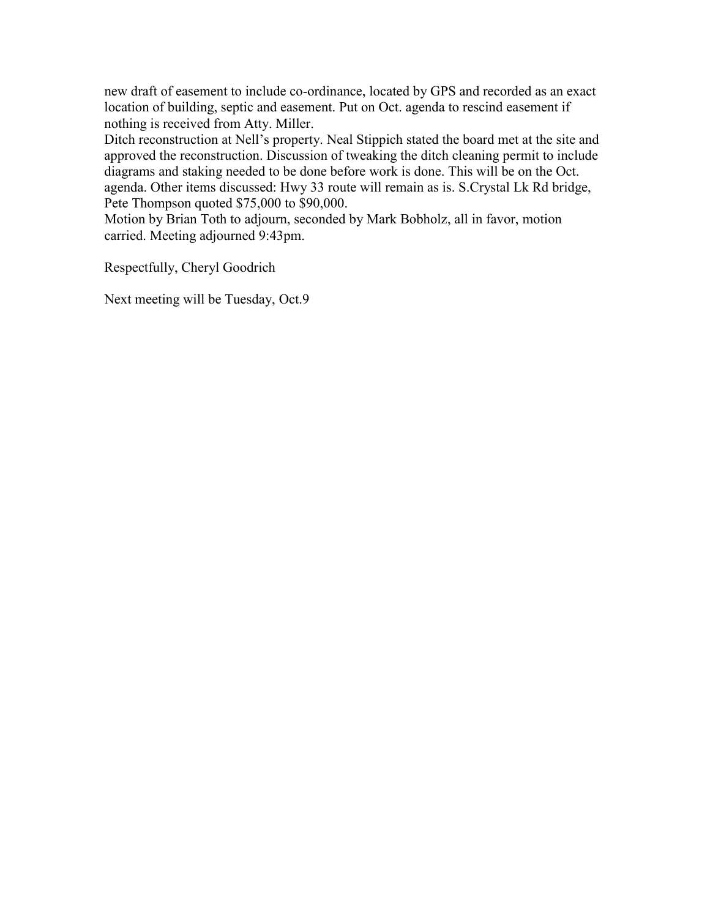new draft of easement to include co-ordinance, located by GPS and recorded as an exact location of building, septic and easement. Put on Oct. agenda to rescind easement if nothing is received from Atty. Miller.

Ditch reconstruction at Nell's property. Neal Stippich stated the board met at the site and approved the reconstruction. Discussion of tweaking the ditch cleaning permit to include diagrams and staking needed to be done before work is done. This will be on the Oct. agenda. Other items discussed: Hwy 33 route will remain as is. S.Crystal Lk Rd bridge, Pete Thompson quoted \$75,000 to \$90,000.

Motion by Brian Toth to adjourn, seconded by Mark Bobholz, all in favor, motion carried. Meeting adjourned 9:43pm.

Respectfully, Cheryl Goodrich

Next meeting will be Tuesday, Oct.9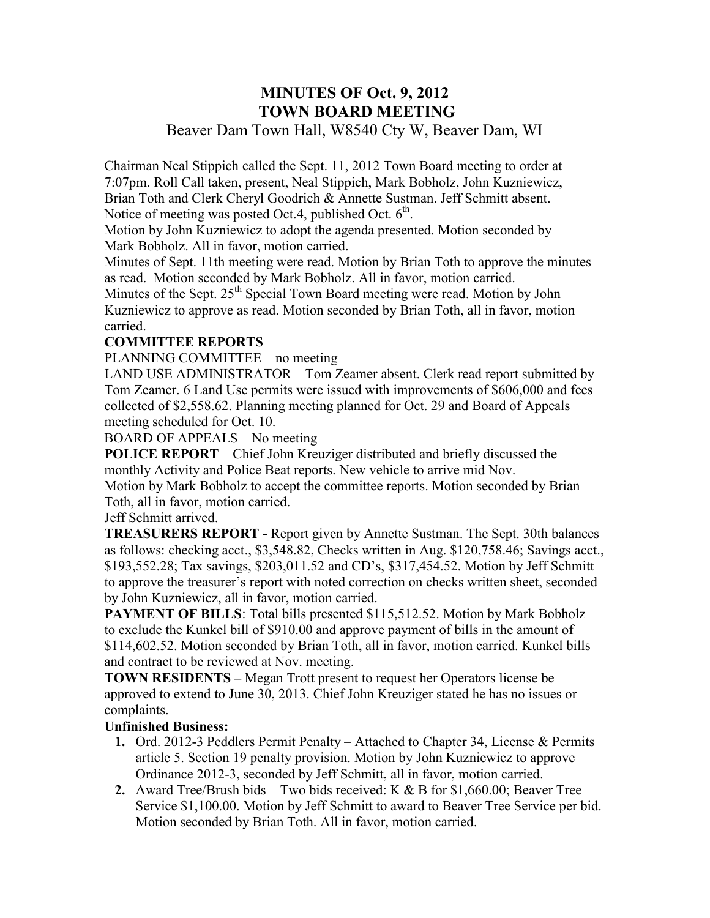## **MINUTES OF Oct. 9, 2012 TOWN BOARD MEETING**  Beaver Dam Town Hall, W8540 Cty W, Beaver Dam, WI

Chairman Neal Stippich called the Sept. 11, 2012 Town Board meeting to order at 7:07pm. Roll Call taken, present, Neal Stippich, Mark Bobholz, John Kuzniewicz, Brian Toth and Clerk Cheryl Goodrich & Annette Sustman. Jeff Schmitt absent. Notice of meeting was posted Oct.4, published Oct.  $6<sup>th</sup>$ .

Motion by John Kuzniewicz to adopt the agenda presented. Motion seconded by Mark Bobholz. All in favor, motion carried.

Minutes of Sept. 11th meeting were read. Motion by Brian Toth to approve the minutes as read. Motion seconded by Mark Bobholz. All in favor, motion carried.

Minutes of the Sept.  $25<sup>th</sup>$  Special Town Board meeting were read. Motion by John Kuzniewicz to approve as read. Motion seconded by Brian Toth, all in favor, motion carried.

## **COMMITTEE REPORTS**

PLANNING COMMITTEE – no meeting

LAND USE ADMINISTRATOR – Tom Zeamer absent. Clerk read report submitted by Tom Zeamer. 6 Land Use permits were issued with improvements of \$606,000 and fees collected of \$2,558.62. Planning meeting planned for Oct. 29 and Board of Appeals meeting scheduled for Oct. 10.

BOARD OF APPEALS – No meeting

**POLICE REPORT** – Chief John Kreuziger distributed and briefly discussed the monthly Activity and Police Beat reports. New vehicle to arrive mid Nov.

Motion by Mark Bobholz to accept the committee reports. Motion seconded by Brian Toth, all in favor, motion carried.

Jeff Schmitt arrived.

**TREASURERS REPORT -** Report given by Annette Sustman. The Sept. 30th balances as follows: checking acct., \$3,548.82, Checks written in Aug. \$120,758.46; Savings acct., \$193,552.28; Tax savings, \$203,011.52 and CD's, \$317,454.52. Motion by Jeff Schmitt to approve the treasurer's report with noted correction on checks written sheet, seconded by John Kuzniewicz, all in favor, motion carried.

**PAYMENT OF BILLS:** Total bills presented \$115,512.52. Motion by Mark Bobholz to exclude the Kunkel bill of \$910.00 and approve payment of bills in the amount of \$114,602.52. Motion seconded by Brian Toth, all in favor, motion carried. Kunkel bills and contract to be reviewed at Nov. meeting.

**TOWN RESIDENTS –** Megan Trott present to request her Operators license be approved to extend to June 30, 2013. Chief John Kreuziger stated he has no issues or complaints.

## **Unfinished Business:**

- **1.** Ord. 2012-3 Peddlers Permit Penalty Attached to Chapter 34, License & Permits article 5. Section 19 penalty provision. Motion by John Kuzniewicz to approve Ordinance 2012-3, seconded by Jeff Schmitt, all in favor, motion carried.
- **2.** Award Tree/Brush bids Two bids received: K & B for \$1,660.00; Beaver Tree Service \$1,100.00. Motion by Jeff Schmitt to award to Beaver Tree Service per bid. Motion seconded by Brian Toth. All in favor, motion carried.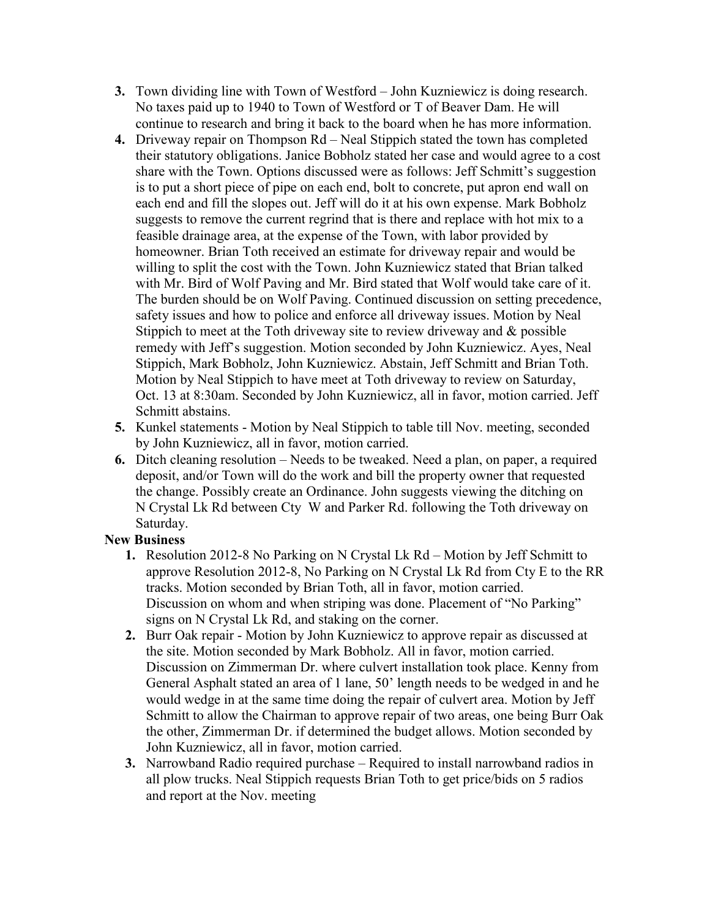- **3.** Town dividing line with Town of Westford John Kuzniewicz is doing research. No taxes paid up to 1940 to Town of Westford or T of Beaver Dam. He will continue to research and bring it back to the board when he has more information.
- **4.** Driveway repair on Thompson Rd Neal Stippich stated the town has completed their statutory obligations. Janice Bobholz stated her case and would agree to a cost share with the Town. Options discussed were as follows: Jeff Schmitt's suggestion is to put a short piece of pipe on each end, bolt to concrete, put apron end wall on each end and fill the slopes out. Jeff will do it at his own expense. Mark Bobholz suggests to remove the current regrind that is there and replace with hot mix to a feasible drainage area, at the expense of the Town, with labor provided by homeowner. Brian Toth received an estimate for driveway repair and would be willing to split the cost with the Town. John Kuzniewicz stated that Brian talked with Mr. Bird of Wolf Paving and Mr. Bird stated that Wolf would take care of it. The burden should be on Wolf Paving. Continued discussion on setting precedence, safety issues and how to police and enforce all driveway issues. Motion by Neal Stippich to meet at the Toth driveway site to review driveway and & possible remedy with Jeff's suggestion. Motion seconded by John Kuzniewicz. Ayes, Neal Stippich, Mark Bobholz, John Kuzniewicz. Abstain, Jeff Schmitt and Brian Toth. Motion by Neal Stippich to have meet at Toth driveway to review on Saturday, Oct. 13 at 8:30am. Seconded by John Kuzniewicz, all in favor, motion carried. Jeff Schmitt abstains.
- **5.** Kunkel statements Motion by Neal Stippich to table till Nov. meeting, seconded by John Kuzniewicz, all in favor, motion carried.
- **6.** Ditch cleaning resolution Needs to be tweaked. Need a plan, on paper, a required deposit, and/or Town will do the work and bill the property owner that requested the change. Possibly create an Ordinance. John suggests viewing the ditching on N Crystal Lk Rd between Cty W and Parker Rd. following the Toth driveway on Saturday.

## **New Business**

- **1.** Resolution 2012-8 No Parking on N Crystal Lk Rd Motion by Jeff Schmitt to approve Resolution 2012-8, No Parking on N Crystal Lk Rd from Cty E to the RR tracks. Motion seconded by Brian Toth, all in favor, motion carried. Discussion on whom and when striping was done. Placement of "No Parking" signs on N Crystal Lk Rd, and staking on the corner.
- **2.** Burr Oak repair Motion by John Kuzniewicz to approve repair as discussed at the site. Motion seconded by Mark Bobholz. All in favor, motion carried. Discussion on Zimmerman Dr. where culvert installation took place. Kenny from General Asphalt stated an area of 1 lane, 50' length needs to be wedged in and he would wedge in at the same time doing the repair of culvert area. Motion by Jeff Schmitt to allow the Chairman to approve repair of two areas, one being Burr Oak the other, Zimmerman Dr. if determined the budget allows. Motion seconded by John Kuzniewicz, all in favor, motion carried.
- **3.** Narrowband Radio required purchase Required to install narrowband radios in all plow trucks. Neal Stippich requests Brian Toth to get price/bids on 5 radios and report at the Nov. meeting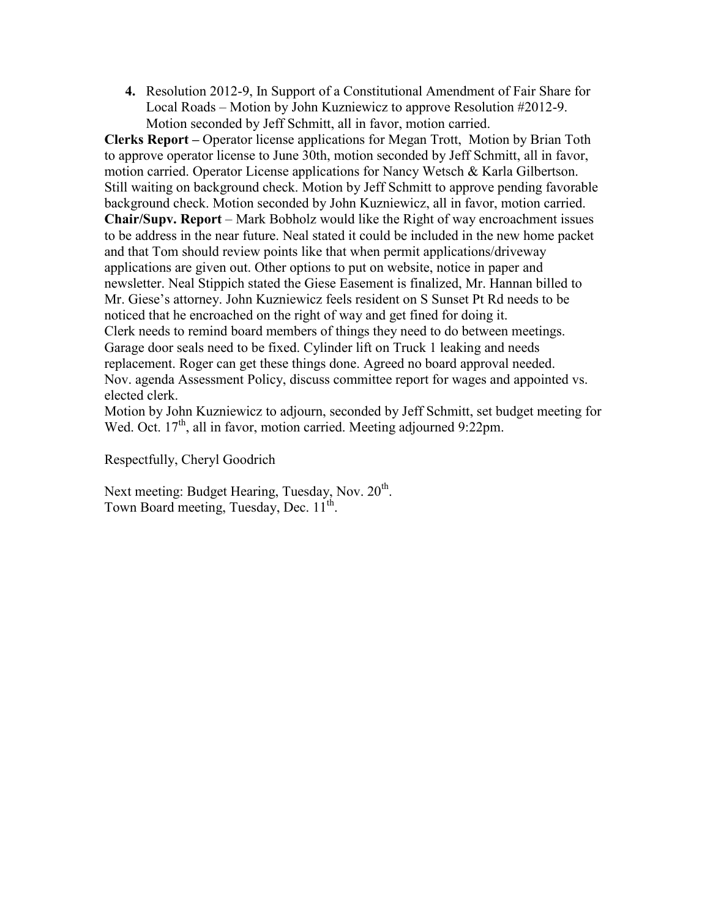**4.** Resolution 2012-9, In Support of a Constitutional Amendment of Fair Share for Local Roads – Motion by John Kuzniewicz to approve Resolution #2012-9. Motion seconded by Jeff Schmitt, all in favor, motion carried.

**Clerks Report –** Operator license applications for Megan Trott, Motion by Brian Toth to approve operator license to June 30th, motion seconded by Jeff Schmitt, all in favor, motion carried. Operator License applications for Nancy Wetsch & Karla Gilbertson. Still waiting on background check. Motion by Jeff Schmitt to approve pending favorable background check. Motion seconded by John Kuzniewicz, all in favor, motion carried. **Chair/Supv. Report** – Mark Bobholz would like the Right of way encroachment issues to be address in the near future. Neal stated it could be included in the new home packet and that Tom should review points like that when permit applications/driveway applications are given out. Other options to put on website, notice in paper and newsletter. Neal Stippich stated the Giese Easement is finalized, Mr. Hannan billed to Mr. Giese's attorney. John Kuzniewicz feels resident on S Sunset Pt Rd needs to be noticed that he encroached on the right of way and get fined for doing it. Clerk needs to remind board members of things they need to do between meetings. Garage door seals need to be fixed. Cylinder lift on Truck 1 leaking and needs replacement. Roger can get these things done. Agreed no board approval needed. Nov. agenda Assessment Policy, discuss committee report for wages and appointed vs. elected clerk.

Motion by John Kuzniewicz to adjourn, seconded by Jeff Schmitt, set budget meeting for Wed. Oct. 17<sup>th</sup>, all in favor, motion carried. Meeting adjourned 9:22pm.

Respectfully, Cheryl Goodrich

Next meeting: Budget Hearing, Tuesday, Nov. 20<sup>th</sup>. Town Board meeting, Tuesday, Dec. 11<sup>th</sup>.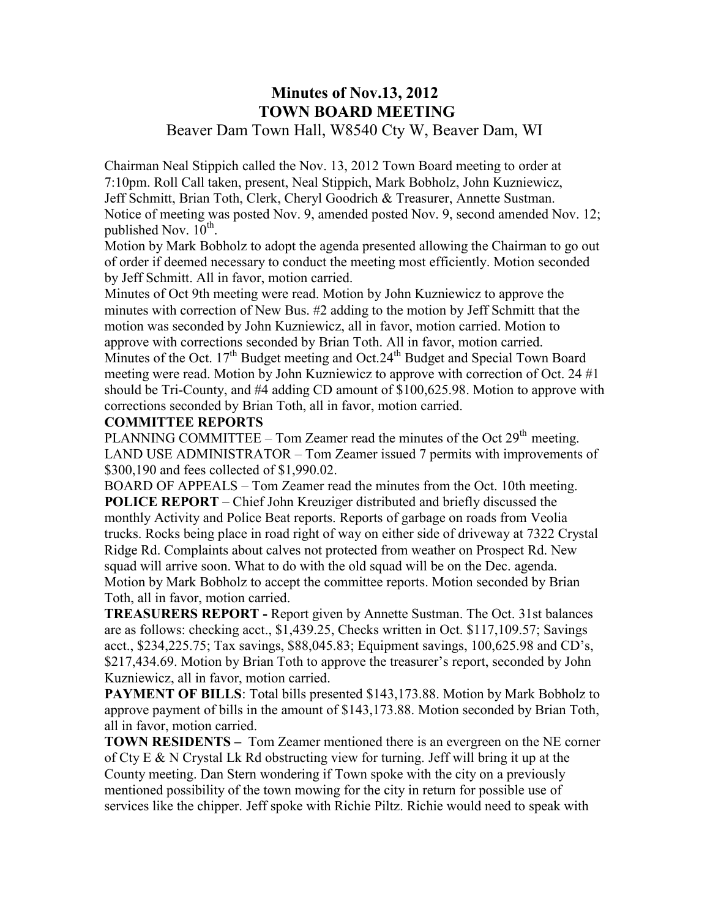## **Minutes of Nov.13, 2012 TOWN BOARD MEETING**  Beaver Dam Town Hall, W8540 Cty W, Beaver Dam, WI

Chairman Neal Stippich called the Nov. 13, 2012 Town Board meeting to order at 7:10pm. Roll Call taken, present, Neal Stippich, Mark Bobholz, John Kuzniewicz, Jeff Schmitt, Brian Toth, Clerk, Cheryl Goodrich & Treasurer, Annette Sustman. Notice of meeting was posted Nov. 9, amended posted Nov. 9, second amended Nov. 12; published Nov.  $10^{\text{th}}$ .

Motion by Mark Bobholz to adopt the agenda presented allowing the Chairman to go out of order if deemed necessary to conduct the meeting most efficiently. Motion seconded by Jeff Schmitt. All in favor, motion carried.

Minutes of Oct 9th meeting were read. Motion by John Kuzniewicz to approve the minutes with correction of New Bus. #2 adding to the motion by Jeff Schmitt that the motion was seconded by John Kuzniewicz, all in favor, motion carried. Motion to approve with corrections seconded by Brian Toth. All in favor, motion carried. Minutes of the Oct.  $17<sup>th</sup>$  Budget meeting and Oct.  $24<sup>th</sup>$  Budget and Special Town Board meeting were read. Motion by John Kuzniewicz to approve with correction of Oct. 24 #1 should be Tri-County, and #4 adding CD amount of \$100,625.98. Motion to approve with corrections seconded by Brian Toth, all in favor, motion carried.

#### **COMMITTEE REPORTS**

PLANNING COMMITTEE – Tom Zeamer read the minutes of the Oct  $29<sup>th</sup>$  meeting. LAND USE ADMINISTRATOR – Tom Zeamer issued 7 permits with improvements of \$300,190 and fees collected of \$1,990.02.

BOARD OF APPEALS – Tom Zeamer read the minutes from the Oct. 10th meeting. **POLICE REPORT** – Chief John Kreuziger distributed and briefly discussed the monthly Activity and Police Beat reports. Reports of garbage on roads from Veolia trucks. Rocks being place in road right of way on either side of driveway at 7322 Crystal Ridge Rd. Complaints about calves not protected from weather on Prospect Rd. New squad will arrive soon. What to do with the old squad will be on the Dec. agenda. Motion by Mark Bobholz to accept the committee reports. Motion seconded by Brian Toth, all in favor, motion carried.

**TREASURERS REPORT -** Report given by Annette Sustman. The Oct. 31st balances are as follows: checking acct., \$1,439.25, Checks written in Oct. \$117,109.57; Savings acct., \$234,225.75; Tax savings, \$88,045.83; Equipment savings, 100,625.98 and CD's, \$217,434.69. Motion by Brian Toth to approve the treasurer's report, seconded by John Kuzniewicz, all in favor, motion carried.

**PAYMENT OF BILLS**: Total bills presented \$143,173.88. Motion by Mark Bobholz to approve payment of bills in the amount of \$143,173.88. Motion seconded by Brian Toth, all in favor, motion carried.

**TOWN RESIDENTS –** Tom Zeamer mentioned there is an evergreen on the NE corner of Cty E  $\&$  N Crystal Lk Rd obstructing view for turning. Jeff will bring it up at the County meeting. Dan Stern wondering if Town spoke with the city on a previously mentioned possibility of the town mowing for the city in return for possible use of services like the chipper. Jeff spoke with Richie Piltz. Richie would need to speak with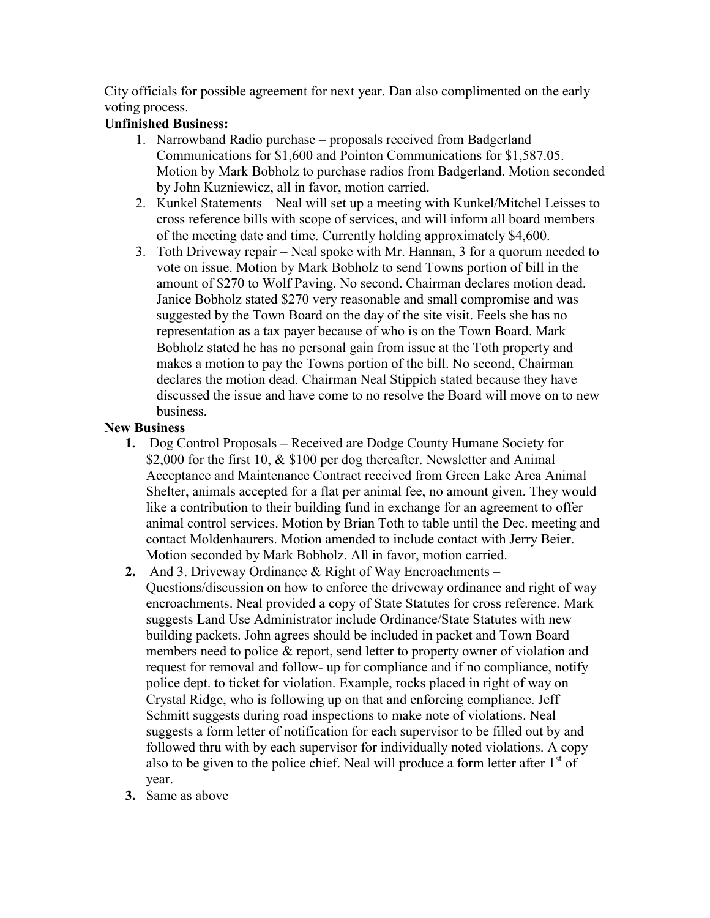City officials for possible agreement for next year. Dan also complimented on the early voting process.

## **Unfinished Business:**

- 1. Narrowband Radio purchase proposals received from Badgerland Communications for \$1,600 and Pointon Communications for \$1,587.05. Motion by Mark Bobholz to purchase radios from Badgerland. Motion seconded by John Kuzniewicz, all in favor, motion carried.
- 2. Kunkel Statements Neal will set up a meeting with Kunkel/Mitchel Leisses to cross reference bills with scope of services, and will inform all board members of the meeting date and time. Currently holding approximately \$4,600.
- 3. Toth Driveway repair Neal spoke with Mr. Hannan, 3 for a quorum needed to vote on issue. Motion by Mark Bobholz to send Towns portion of bill in the amount of \$270 to Wolf Paving. No second. Chairman declares motion dead. Janice Bobholz stated \$270 very reasonable and small compromise and was suggested by the Town Board on the day of the site visit. Feels she has no representation as a tax payer because of who is on the Town Board. Mark Bobholz stated he has no personal gain from issue at the Toth property and makes a motion to pay the Towns portion of the bill. No second, Chairman declares the motion dead. Chairman Neal Stippich stated because they have discussed the issue and have come to no resolve the Board will move on to new business.

#### **New Business**

- **1.** Dog Control Proposals Received are Dodge County Humane Society for \$2,000 for the first 10, & \$100 per dog thereafter. Newsletter and Animal Acceptance and Maintenance Contract received from Green Lake Area Animal Shelter, animals accepted for a flat per animal fee, no amount given. They would like a contribution to their building fund in exchange for an agreement to offer animal control services. Motion by Brian Toth to table until the Dec. meeting and contact Moldenhaurers. Motion amended to include contact with Jerry Beier. Motion seconded by Mark Bobholz. All in favor, motion carried.
- **2.** And 3. Driveway Ordinance & Right of Way Encroachments Questions/discussion on how to enforce the driveway ordinance and right of way encroachments. Neal provided a copy of State Statutes for cross reference. Mark suggests Land Use Administrator include Ordinance/State Statutes with new building packets. John agrees should be included in packet and Town Board members need to police & report, send letter to property owner of violation and request for removal and follow- up for compliance and if no compliance, notify police dept. to ticket for violation. Example, rocks placed in right of way on Crystal Ridge, who is following up on that and enforcing compliance. Jeff Schmitt suggests during road inspections to make note of violations. Neal suggests a form letter of notification for each supervisor to be filled out by and followed thru with by each supervisor for individually noted violations. A copy also to be given to the police chief. Neal will produce a form letter after  $1<sup>st</sup>$  of year.
- **3.** Same as above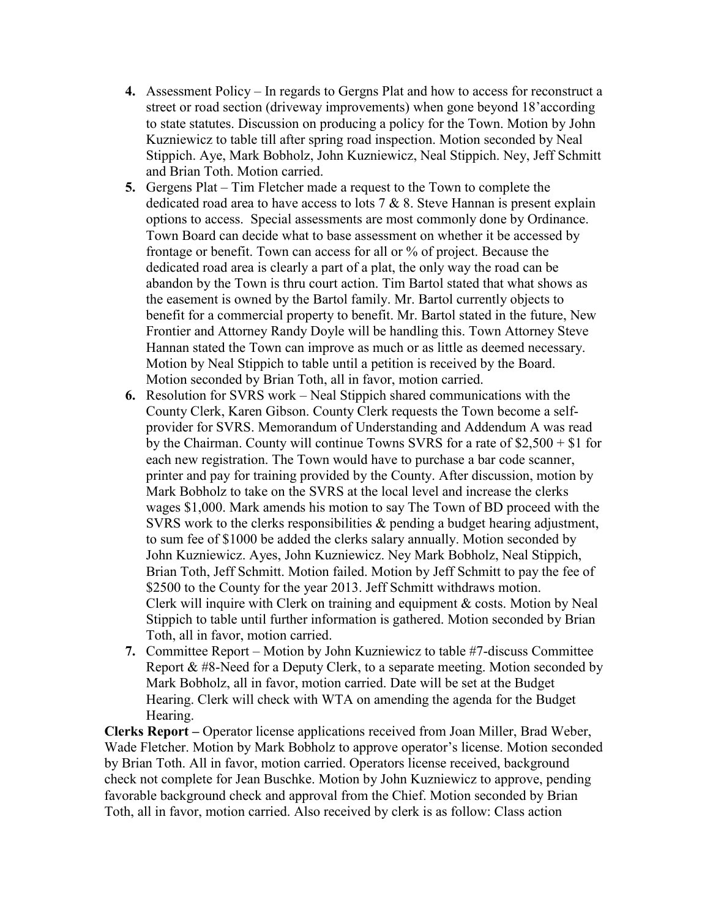- **4.** Assessment Policy In regards to Gergns Plat and how to access for reconstruct a street or road section (driveway improvements) when gone beyond 18'according to state statutes. Discussion on producing a policy for the Town. Motion by John Kuzniewicz to table till after spring road inspection. Motion seconded by Neal Stippich. Aye, Mark Bobholz, John Kuzniewicz, Neal Stippich. Ney, Jeff Schmitt and Brian Toth. Motion carried.
- **5.** Gergens Plat Tim Fletcher made a request to the Town to complete the dedicated road area to have access to lots 7 & 8. Steve Hannan is present explain options to access. Special assessments are most commonly done by Ordinance. Town Board can decide what to base assessment on whether it be accessed by frontage or benefit. Town can access for all or % of project. Because the dedicated road area is clearly a part of a plat, the only way the road can be abandon by the Town is thru court action. Tim Bartol stated that what shows as the easement is owned by the Bartol family. Mr. Bartol currently objects to benefit for a commercial property to benefit. Mr. Bartol stated in the future, New Frontier and Attorney Randy Doyle will be handling this. Town Attorney Steve Hannan stated the Town can improve as much or as little as deemed necessary. Motion by Neal Stippich to table until a petition is received by the Board. Motion seconded by Brian Toth, all in favor, motion carried.
- **6.** Resolution for SVRS work Neal Stippich shared communications with the County Clerk, Karen Gibson. County Clerk requests the Town become a selfprovider for SVRS. Memorandum of Understanding and Addendum A was read by the Chairman. County will continue Towns SVRS for a rate of \$2,500 + \$1 for each new registration. The Town would have to purchase a bar code scanner, printer and pay for training provided by the County. After discussion, motion by Mark Bobholz to take on the SVRS at the local level and increase the clerks wages \$1,000. Mark amends his motion to say The Town of BD proceed with the SVRS work to the clerks responsibilities & pending a budget hearing adjustment, to sum fee of \$1000 be added the clerks salary annually. Motion seconded by John Kuzniewicz. Ayes, John Kuzniewicz. Ney Mark Bobholz, Neal Stippich, Brian Toth, Jeff Schmitt. Motion failed. Motion by Jeff Schmitt to pay the fee of \$2500 to the County for the year 2013. Jeff Schmitt withdraws motion. Clerk will inquire with Clerk on training and equipment & costs. Motion by Neal Stippich to table until further information is gathered. Motion seconded by Brian Toth, all in favor, motion carried.
- **7.** Committee Report Motion by John Kuzniewicz to table #7-discuss Committee Report & #8-Need for a Deputy Clerk, to a separate meeting. Motion seconded by Mark Bobholz, all in favor, motion carried. Date will be set at the Budget Hearing. Clerk will check with WTA on amending the agenda for the Budget Hearing.

**Clerks Report –** Operator license applications received from Joan Miller, Brad Weber, Wade Fletcher. Motion by Mark Bobholz to approve operator's license. Motion seconded by Brian Toth. All in favor, motion carried. Operators license received, background check not complete for Jean Buschke. Motion by John Kuzniewicz to approve, pending favorable background check and approval from the Chief. Motion seconded by Brian Toth, all in favor, motion carried. Also received by clerk is as follow: Class action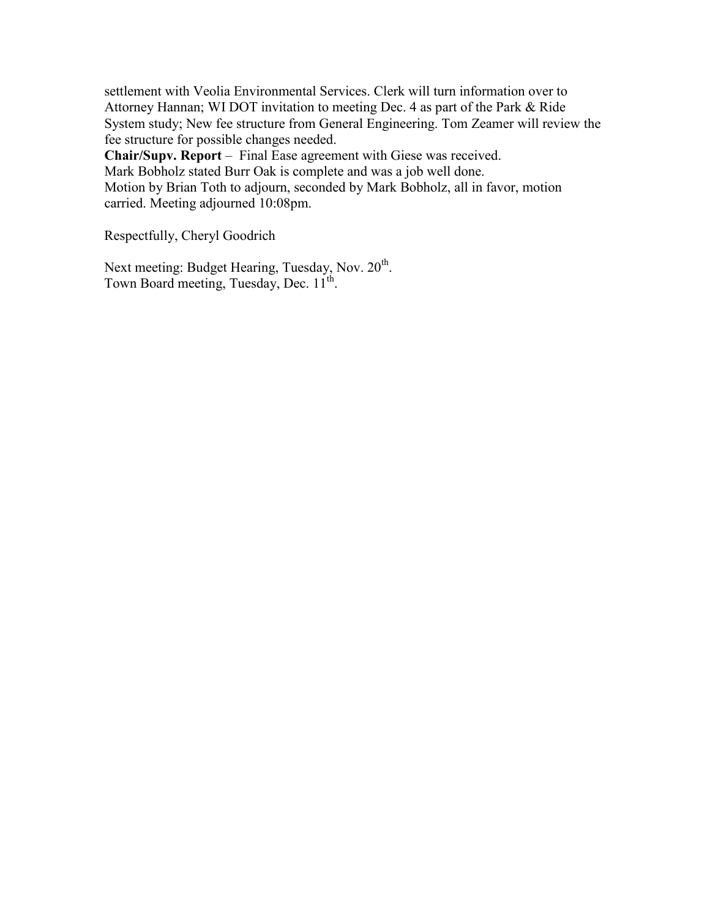settlement with Veolia Environmental Services. Clerk will turn information over to Attorney Hannan; WI DOT invitation to meeting Dec. 4 as part of the Park & Ride System study; New fee structure from General Engineering. Tom Zeamer will review the fee structure for possible changes needed.

**Chair/Supv. Report** – Final Ease agreement with Giese was received.

Mark Bobholz stated Burr Oak is complete and was a job well done.

Motion by Brian Toth to adjourn, seconded by Mark Bobholz, all in favor, motion carried. Meeting adjourned 10:08pm.

Respectfully, Cheryl Goodrich

Next meeting: Budget Hearing, Tuesday, Nov. 20<sup>th</sup>. Town Board meeting, Tuesday, Dec. 11<sup>th</sup>.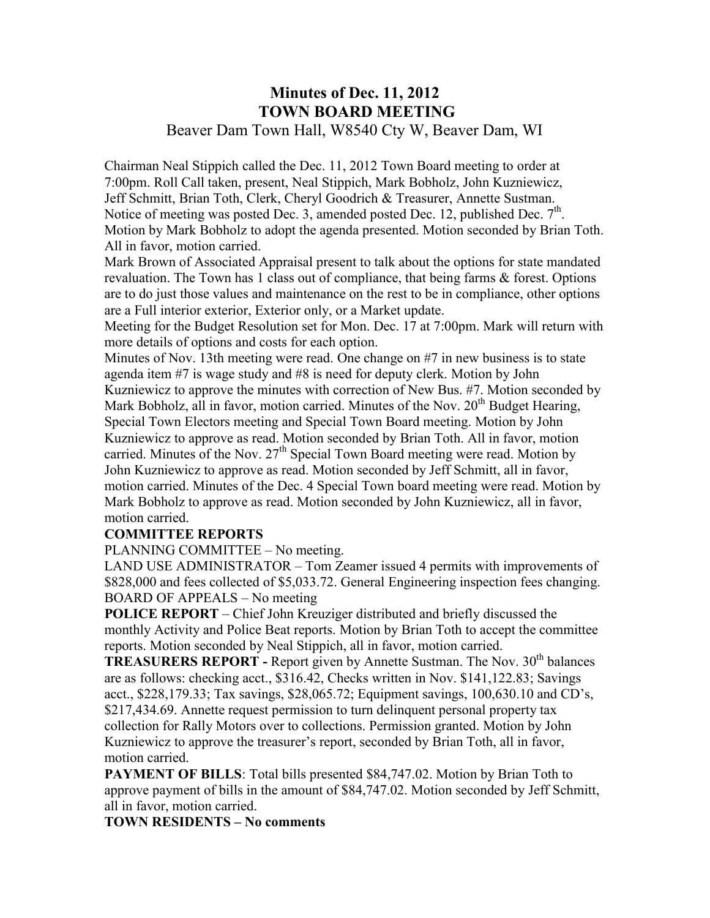## **Minutes of Dec. 11, 2012 TOWN BOARD MEETING**  Beaver Dam Town Hall, W8540 Cty W, Beaver Dam, WI

Chairman Neal Stippich called the Dec. 11, 2012 Town Board meeting to order at 7:00pm. Roll Call taken, present, Neal Stippich, Mark Bobholz, John Kuzniewicz, Jeff Schmitt, Brian Toth, Clerk, Cheryl Goodrich & Treasurer, Annette Sustman. Notice of meeting was posted Dec. 3, amended posted Dec. 12, published Dec.  $7<sup>th</sup>$ . Motion by Mark Bobholz to adopt the agenda presented. Motion seconded by Brian Toth. All in favor, motion carried.

Mark Brown of Associated Appraisal present to talk about the options for state mandated revaluation. The Town has 1 class out of compliance, that being farms & forest. Options are to do just those values and maintenance on the rest to be in compliance, other options are a Full interior exterior, Exterior only, or a Market update.

Meeting for the Budget Resolution set for Mon. Dec. 17 at 7:00pm. Mark will return with more details of options and costs for each option.

Minutes of Nov. 13th meeting were read. One change on #7 in new business is to state agenda item #7 is wage study and #8 is need for deputy clerk. Motion by John Kuzniewicz to approve the minutes with correction of New Bus. #7. Motion seconded by Mark Bobholz, all in favor, motion carried. Minutes of the Nov.  $20<sup>th</sup>$  Budget Hearing, Special Town Electors meeting and Special Town Board meeting. Motion by John Kuzniewicz to approve as read. Motion seconded by Brian Toth. All in favor, motion carried. Minutes of the Nov.  $27<sup>th</sup>$  Special Town Board meeting were read. Motion by John Kuzniewicz to approve as read. Motion seconded by Jeff Schmitt, all in favor, motion carried. Minutes of the Dec. 4 Special Town board meeting were read. Motion by Mark Bobholz to approve as read. Motion seconded by John Kuzniewicz, all in favor, motion carried.

#### **COMMITTEE REPORTS**

PLANNING COMMITTEE – No meeting.

LAND USE ADMINISTRATOR – Tom Zeamer issued 4 permits with improvements of \$828,000 and fees collected of \$5,033.72. General Engineering inspection fees changing. BOARD OF APPEALS – No meeting

**POLICE REPORT** – Chief John Kreuziger distributed and briefly discussed the monthly Activity and Police Beat reports. Motion by Brian Toth to accept the committee reports. Motion seconded by Neal Stippich, all in favor, motion carried.

**TREASURERS REPORT - Report given by Annette Sustman. The Nov. 30<sup>th</sup> balances** are as follows: checking acct., \$316.42, Checks written in Nov. \$141,122.83; Savings acct., \$228,179.33; Tax savings, \$28,065.72; Equipment savings, 100,630.10 and CD's, \$217,434.69. Annette request permission to turn delinquent personal property tax collection for Rally Motors over to collections. Permission granted. Motion by John Kuzniewicz to approve the treasurer's report, seconded by Brian Toth, all in favor, motion carried.

**PAYMENT OF BILLS:** Total bills presented \$84,747.02. Motion by Brian Toth to approve payment of bills in the amount of \$84,747.02. Motion seconded by Jeff Schmitt, all in favor, motion carried.

#### **TOWN RESIDENTS – No comments**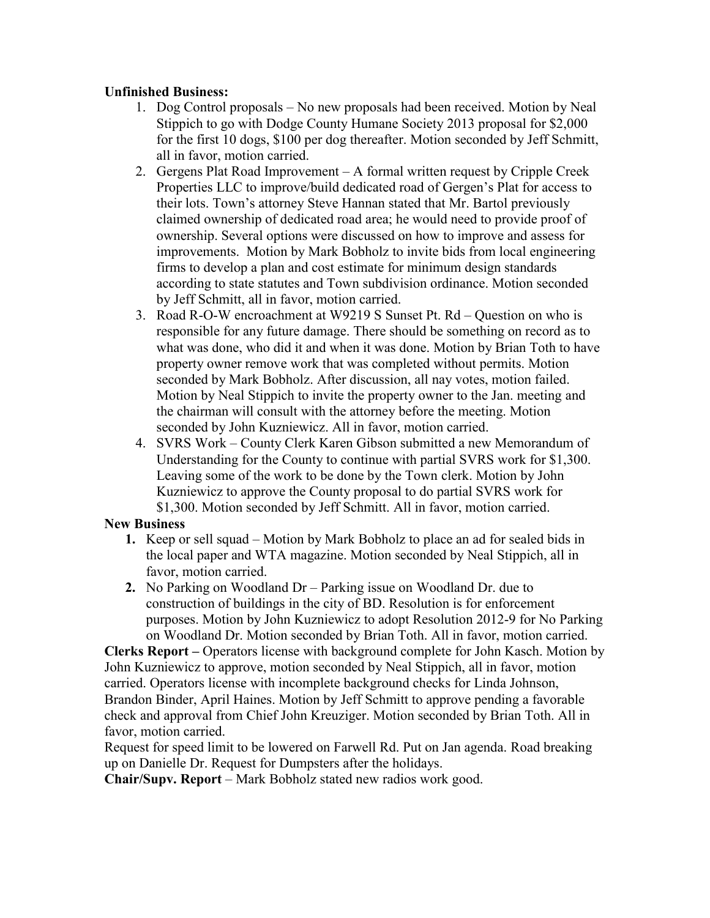#### **Unfinished Business:**

- 1. Dog Control proposals No new proposals had been received. Motion by Neal Stippich to go with Dodge County Humane Society 2013 proposal for \$2,000 for the first 10 dogs, \$100 per dog thereafter. Motion seconded by Jeff Schmitt, all in favor, motion carried.
- 2. Gergens Plat Road Improvement A formal written request by Cripple Creek Properties LLC to improve/build dedicated road of Gergen's Plat for access to their lots. Town's attorney Steve Hannan stated that Mr. Bartol previously claimed ownership of dedicated road area; he would need to provide proof of ownership. Several options were discussed on how to improve and assess for improvements. Motion by Mark Bobholz to invite bids from local engineering firms to develop a plan and cost estimate for minimum design standards according to state statutes and Town subdivision ordinance. Motion seconded by Jeff Schmitt, all in favor, motion carried.
- 3. Road R-O-W encroachment at W9219 S Sunset Pt. Rd Question on who is responsible for any future damage. There should be something on record as to what was done, who did it and when it was done. Motion by Brian Toth to have property owner remove work that was completed without permits. Motion seconded by Mark Bobholz. After discussion, all nay votes, motion failed. Motion by Neal Stippich to invite the property owner to the Jan. meeting and the chairman will consult with the attorney before the meeting. Motion seconded by John Kuzniewicz. All in favor, motion carried.
- 4. SVRS Work County Clerk Karen Gibson submitted a new Memorandum of Understanding for the County to continue with partial SVRS work for \$1,300. Leaving some of the work to be done by the Town clerk. Motion by John Kuzniewicz to approve the County proposal to do partial SVRS work for \$1,300. Motion seconded by Jeff Schmitt. All in favor, motion carried.

#### **New Business**

- **1.** Keep or sell squad Motion by Mark Bobholz to place an ad for sealed bids in the local paper and WTA magazine. Motion seconded by Neal Stippich, all in favor, motion carried.
- **2.** No Parking on Woodland Dr Parking issue on Woodland Dr. due to construction of buildings in the city of BD. Resolution is for enforcement purposes. Motion by John Kuzniewicz to adopt Resolution 2012-9 for No Parking on Woodland Dr. Motion seconded by Brian Toth. All in favor, motion carried.

**Clerks Report –** Operators license with background complete for John Kasch. Motion by John Kuzniewicz to approve, motion seconded by Neal Stippich, all in favor, motion carried. Operators license with incomplete background checks for Linda Johnson, Brandon Binder, April Haines. Motion by Jeff Schmitt to approve pending a favorable check and approval from Chief John Kreuziger. Motion seconded by Brian Toth. All in favor, motion carried.

Request for speed limit to be lowered on Farwell Rd. Put on Jan agenda. Road breaking up on Danielle Dr. Request for Dumpsters after the holidays.

**Chair/Supv. Report** – Mark Bobholz stated new radios work good.